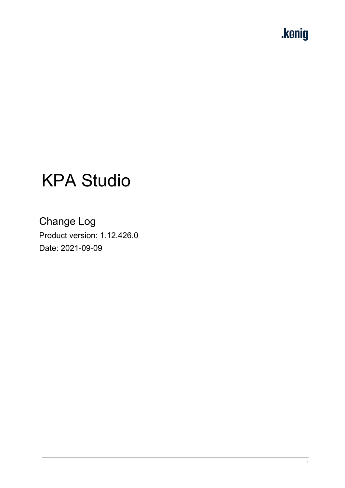# KPA Studio

Change Log Product version: 1.12.426.0 Date: 2021-09-09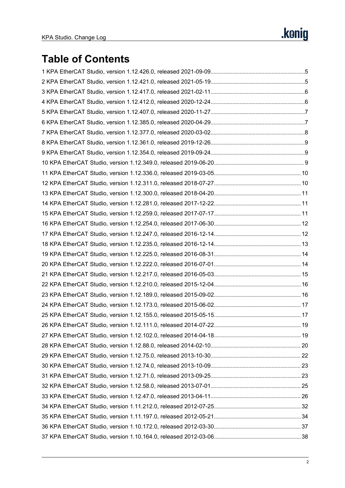# **Table of Contents**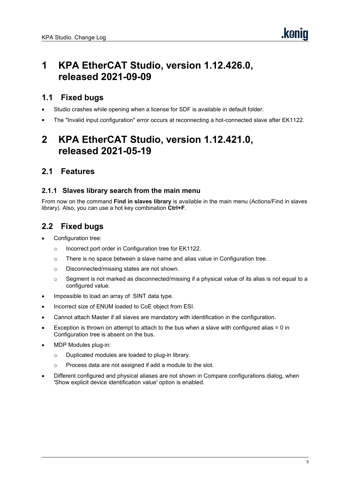# <span id="page-4-0"></span>**1 KPA EtherCAT Studio, version 1.12.426.0, released 2021-09-09**

### **1.1 Fixed bugs**

- Studio crashes while opening when a license for SDF is available in default folder.
- The "Invalid input configuration" error occurs at reconnecting a hot-connected slave after EK1122.

# <span id="page-4-1"></span>**2 KPA EtherCAT Studio, version 1.12.421.0, released 2021-05-19**

### **2.1 Features**

#### **2.1.1 Slaves library search from the main menu**

From nowon the command **Find in slaves library** is available in the main menu (Actions/Find in slaves library). Also, you can use a hot key combination **Ctrl+F**.

- Configuration tree:
	- o Incorrect port order in Configuration tree for EK1122.
	- $\circ$  There is no space between a slave name and alias value in Configuration tree.
	- o Disconnected/missing states are not shown.
	- $\circ$  Segment is not marked as disconnected/missing if a physical value of its alias is not equal to a configured value.
- Impossible to load an array of SINT data type.
- Incorrect size of ENUM loaded to CoE object from ESI.
- Cannot attach Master if all slaves are mandatory with identification in the configuration.
- Exception is thrown on attempt to attach to the bus when a slave with configured alias = 0 in Configuration tree is absent on the bus.
- MDP Modules plug-in:
	- o Duplicated modules are loaded to plug-in library.
	- o Process data are not assigned if add a module to the slot.
- Different configured and physical aliases are not shown in Compare configurations dialog, when 'Show explicit device identification value' option is enabled.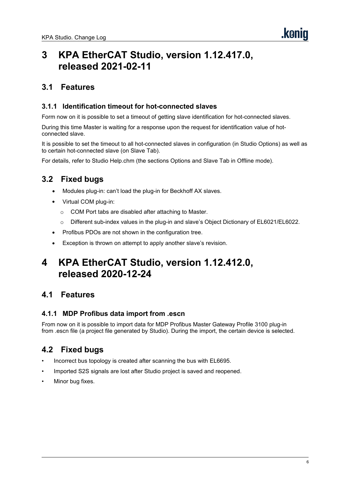# <span id="page-5-0"></span>**3 KPA EtherCAT Studio, version 1.12.417.0, released 2021-02-11**

### **3.1 Features**

#### **3.1.1 Identification timeout for hot-connected slaves**

Form nowon it is possible to set a timeout of getting slave identification for hot-connected slaves.

During this time Master is waiting for a response upon the request for identification value of hot connected slave.

It is possible to set the timeout to all hot-connected slaves in configuration (in Studio Options) as well as to certain hot-connected slave (on Slave Tab).

For details, refer to Studio Help.chm (the sections Options and Slave Tab in Offline mode).

# **3.2 Fixed bugs**

- Modules plug-in: can't load the plug-in for Beckhoff AX slaves.
- Virtual COM plug-in:
	- o COM Port tabs are disabled after attaching to Master.
	- o Different sub-index values in the plug-in and slave's Object Dictionary of EL6021/EL6022.
- Profibus PDOs are not shown in the configuration tree.
- Exception is thrown on attempt to apply another slave's revision.

# <span id="page-5-1"></span>**4 KPA EtherCAT Studio, version 1.12.412.0, released 2020-12-24**

### **4.1 Features**

#### **4.1.1 MDP Profibus data import from .escn**

From nowon it is possible to import data for MDP Profibus Master Gateway Profile 3100 plug-in from .escn file (a project file generated by Studio). During the import, the certain device isselected.

- Incorrect bus topology is created after scanning the bus with EL6695.
- Imported S2S signals are lost after Studio project is saved and reopened.
- Minor bug fixes.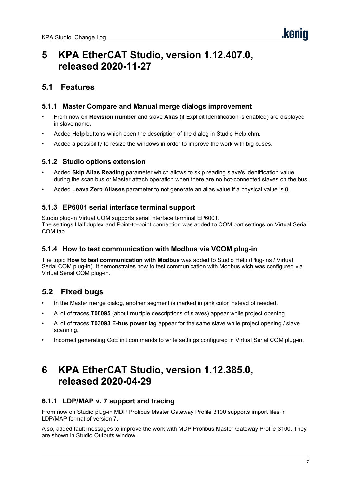# <span id="page-6-0"></span>**5 KPA EtherCAT Studio, version 1.12.407.0, released 2020-11-27**

### **5.1 Features**

#### **5.1.1 Master Compare and Manual merge dialogs improvement**

- From nowon **Revision number** and slave **Alias** (if Explicit Identification is enabled) are displayed in slave name.
- Added **Help** buttons which open the description of the dialog in Studio Help.chm.
- Added a possibility to resize the windows in order to improve the work with big buses.

#### **5.1.2 Studio options extension**

- Added **Skip Alias Reading** parameter which allows to skip reading slave's identification value during the scan bus or Master attach operation when there are no hot-connected slaves on the bus.
- Added **Leave Zero Aliases** parameter to not generate an alias value if a physical value is0.

#### **5.1.3 EP6001 serial interface terminal support**

Studio plug-in Virtual COM supports serial interface terminal EP6001. The settings Half duplex and Point-to-point connection was added to COM port settings on Virtual Serial COM tab.

#### **5.1.4 How to test communication with Modbus via VCOM plug-in**

The topic **How to test communication with Modbus** was added to Studio Help (Plug-ins / [Virtual](mk:@MSITStore:D:\SVN\Studio%20branches\studio1.12\resources\docs\Studio.Help.chm::/virtual_com_pligin.htm) Serial COM plug-in). It demonstrates how to test communication with Modbus wich was configured via Virtual Serial COM plug-in.

# **5.2 Fixed bugs**

- In the Master merge dialog, another segment is marked in pink color instead of needed.
- A lot of traces **T00095** (about multiple descriptions of slaves) appear while project opening.
- A lot of traces **T03093 E-bus power lag** appear for the same slave while project opening / slave scanning.
- Incorrect generating CoE init commands to write settings configured in Virtual Serial COM plug-in.

# <span id="page-6-1"></span>**6 KPA EtherCAT Studio, version 1.12.385.0, released 2020-04-29**

#### **6.1.1 LDP/MAP v. 7 support and tracing**

From nowon Studio plug-in MDP Profibus Master Gateway Profile 3100 supports import files in LDP/MAP format of version 7.

Also, added fault messages to improve the work with MDP Profibus Master Gateway Profile 3100. They are shown in Studio Outputs window.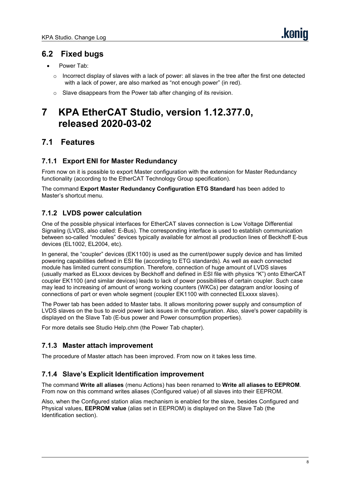- Power Tab:
	- $\circ$  Incorrect display of slaves with a lack of power: all slaves in the tree after the first one detected with a lack of power, are also marked as "not enough power" (in red).
	- $\circ$  Slave disappears from the Power tab after changing of its revision.

# <span id="page-7-0"></span>**7 KPA EtherCAT Studio, version 1.12.377.0, released 2020-03-02**

# **7.1 Features**

#### **7.1.1 Export ENI for Master Redundancy**

From nowon it is possible to export Master configuration with the extension for Master Redundancy functionality (according to the EtherCAT Technology Group specification).

The command **Export Master Redundancy Configuration ETG Standard** has been added to Master's shortcut menu.

#### **7.1.2 LVDS power calculation**

One of the possible physical interfaces for EtherCAT slaves connection is Low Voltage Differential Signaling (LVDS, also called: E-Bus). The corresponding interface is used to establish communication between so-called "modules" devices typically available for almost all production lines of Beckhoff E-bus devices (EL1002, EL2004, etc).

In general, the "coupler" devices (EK1100) is used as the current/power supply device and has limited powering capabilities defined in ESI file (according to ETG standards). As well as each connected module has limited current consumption. Therefore, connection of huge amount of LVDS slaves (usually marked as ELxxxx devices by Beckhoffand defined in ESI file with physics "K") onto EtherCAT coupler EK1100 (and similar devices) leads to lack of power possibilities of certain coupler. Such case may lead to increasing of amount of wrong working counters (WKCs) per datagram and/or loosing of connections of part or even whole segment (coupler EK1100 with connected ELxxxx slaves).

The Power tab has been added to Master tabs. It allows monitoring power supply and consumption of LVDS slaves on the bus to avoid power lack issues in the configuration. Also, slave's power capability is displayed on the Slave Tab (E-bus power and Power consumption properties).

For more details see Studio Help.chm (the Power Tab chapter).

#### **7.1.3 Master attach improvement**

The procedure of Master attach has been improved. From nowon it takes less time.

#### **7.1.4 Slave's Explicit Identification improvement**

The command **Write all aliases** (menu Actions) has been renamed to **Write allaliases to EEPROM**. From now on this command writes aliases (Configured value) of all slaves into their EEPROM.

Also, when the Configured station alias mechanism is enabled for the slave, besides Configured and Physical values, **EEPROM value** (alias set in EEPROM) is displayed on the Slave Tab (the Identification section).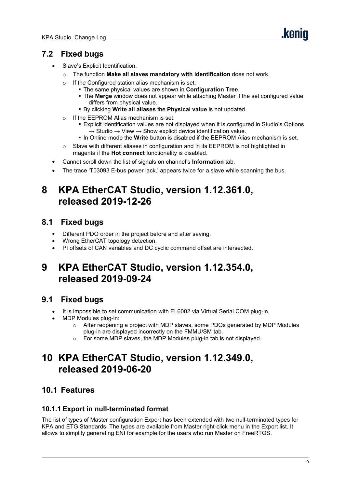- Slave's Explicit Identification.
	- o The function **Make all slaves mandatory with identification** does not work.
	-
	- <sup>o</sup> If the Configured station alias mechanism is set: The same physical values are shown in **Configuration Tree**.
		- The **Merge** window does not appear while attaching Master if the set configured value differs from physical value.
		- By clicking **Write all aliases** the **Physical value** isnot updated.
	-
	- <sup>o</sup> If the EEPROM Alias mechanism is set: Explicit identification values are not displayed when it is configured in Studio's Options  $\rightarrow$  Studio  $\rightarrow$  View  $\rightarrow$  Show explicit device identification value.
		- In Online mode the **Write** button is disabled if the EEPROM Alias mechanism is set.
	- o Slave with different aliases in configuration and in its EEPROM is not highlighted in magenta if the **Hot connect** functionality is disabled.
- Cannot scroll down the list of signals on channel's **Information** tab.
- The trace 'T03093 E-bus power lack.' appears twice for a slave while scanning the bus.

# <span id="page-8-0"></span>**8 KPA EtherCAT Studio, version 1.12.361.0, released 2019-12-26**

# **8.1 Fixed bugs**

- Different PDO order in the project before and after saving.
- Wrong EtherCAT topology detection.
- PI offsets of CAN variables and DC cyclic command offset are intersected.

# <span id="page-8-1"></span>**9 KPA EtherCAT Studio, version 1.12.354.0, released 2019-09-24**

# **9.1 Fixed bugs**

- It is impossible to set communication with EL6002 via Virtual Serial COM plug-in.
- MDP Modules plug-in:
	- $\circ$  After reopening a project with MDP slaves, some PDOs generated by MDP Modules plug-in are displayed incorrectly on the FMMU/SM tab.
	- o For some MDP slaves, the MDP Modules plug-in tab is not displayed.

# <span id="page-8-2"></span>**10 KPA EtherCAT Studio, version 1.12.349.0, released 2019-06-20**

# **10.1 Features**

#### **10.1.1 Export in null-terminated format**

The list of types of Master configuration Export has been extended with two null-terminated types for KPA and ETG Standards. The types are available from Master right-click menu in the Export list. It allows to simplify generating ENI for example for the users who run Master on FreeRTOS.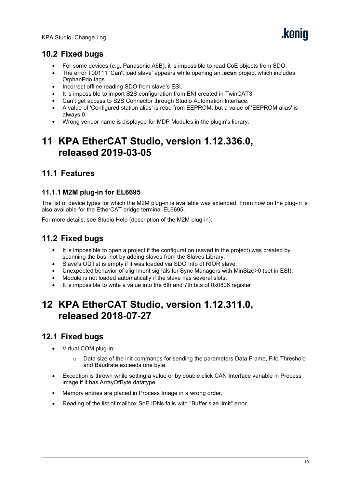- For some devices (e.g. Panasonic A6B), it is impossible to read CoE objects from SDO.
- The error T00111 'Can't load slave' appears while opening an **.ecsn** project which includes OrphanPdo tags.
- Incorrect offline reading SDO from slave's ESI.<br>• It is impossible to import S2S configuration from
- It is impossible to import S2S configuration from ENI created in TwinCAT3
- Can't get access to S2S Connector through Studio Automation Interface.
- A value of 'Configured station alias' is read from EEPROM, but a value of 'EEPROM alias' is always 0.
- Wrong vendor name is displayed for MDP Modules in the plugin's library.

# <span id="page-9-0"></span>**11 KPA EtherCAT Studio, version 1.12.336.0, released 2019-03-05**

# **11.1 Features**

#### **11.1.1 M2M plug-in for EL6695**

The list of device types for which the M2M plug-in is available was extended. From nowon the plug-in is also available for the EtherCAT bridge terminal EL6695.

For more details, see Studio Help (description of the M2M plug-in).

# **11.2 Fixed bugs**

- It is impossible to open a project if the configuration (saved in the project) was created by scanning the bus, not by adding slaves from the Slaves Library.
- Slave's OD list is empty if it was loaded via SDO Info of RIOR slave.<br>• Unexpected behavior of alignment signals for Sync Managers with M
- Unexpected behavior ofalignment signals for Sync Managers with MinSize>0 (set in ESI).
- Module is not loaded automatically if the slave has several slots.
- It is impossible to write a value into the 6th and 7th bits of 0x0806 register

# <span id="page-9-1"></span>**12 KPA EtherCAT Studio, version 1.12.311.0, released 2018-07-27**

- Virtual COM plug-in:
	- $\circ$  Data size of the init commands for sending the parameters Data Frame, Fifo Threshold and Baudrate exceeds one byte.
- Exception is thrown while setting a value or by double click CAN Interface variable in Process image if it has ArrayOfByte datatype.
- Memory entries are placed in Process Image in a wrong order.
- Reading of the list of mailbox SoE IDNs fails with "Buffer size limit" error.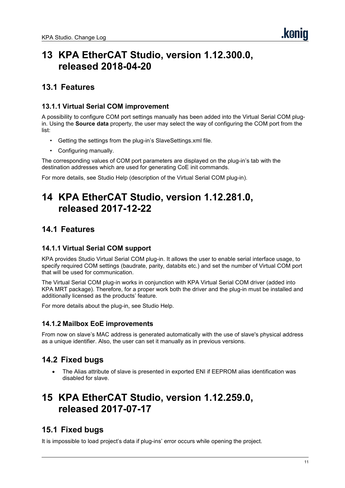# <span id="page-10-0"></span>**13 KPA EtherCAT Studio, version 1.12.300.0, released 2018-04-20**

### **13.1 Features**

#### **13.1.1 Virtual Serial COM improvement**

A possibility to configure COM port settings manually has been added into the Virtual Serial COM plugin. Using the **Source data** property, the user may select the way of configuring the COM port from the

- list:<br>• Getting the settings from the plug-in's SlaveSettings.xml file.
	- Configuring manually.

The corresponding values of COM port parameters are displayed on the plug-in's tab with the destination addresses which are used for generating CoE init commands.

For more details, see Studio Help (description of the Virtual Serial COM plug-in).

# <span id="page-10-1"></span>**14 KPA EtherCAT Studio, version 1.12.281.0, released 2017-12-22**

### **14.1 Features**

#### **14.1.1 Virtual Serial COM support**

KPA provides Studio Virtual Serial COM plug-in. It allows the user to enable serial interface usage, to specify required COM settings (baudrate, parity, databits etc.) and set the number of Virtual COM port that will be used for communication.

The Virtual Serial COM plug-in works in conjunction with KPA Virtual Serial COM driver (added into KPA MRT package). Therefore, for a proper work both the driver and the plug-in must be installed and additionally licensed as the products' feature.

For more details about the plug-in, see Studio Help.

#### **14.1.2 Mailbox EoE improvements**

From nowon slave's MAC address is generated automatically with the use of slave's physical address as a unique identifier. Also, the user can set it manually as in previous versions.

# **14.2 Fixed bugs**

 The Alias attribute of slave is presented in exported ENI if EEPROM alias identification was disabled for slave.

# <span id="page-10-2"></span>**15 KPA EtherCAT Studio, version 1.12.259.0, released 2017-07-17**

# **15.1 Fixed bugs**

It is impossible to load project's data if plug-ins' error occurs while opening the project.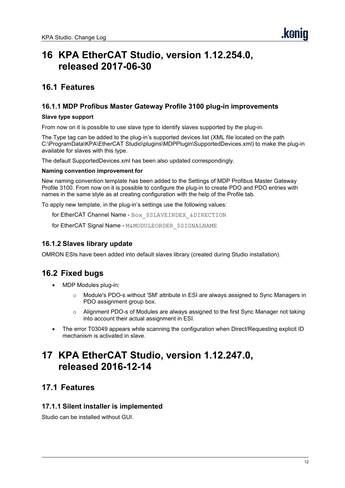# <span id="page-11-0"></span>**16 KPA EtherCAT Studio, version 1.12.254.0, released 2017-06-30**

### **16.1 Features**

#### **16.1.1 MDP Profibus Master Gateway Profile 3100 plug-in improvements**

#### **Slave type support**

From nowon it is possible to use slave type to identify slaves supported by the plug-in.

The Type tag can be added to the plug-in's supported devices list (XML file located on the path C:\ProgramData\KPA\EtherCAT Studio\plugins\MDPPlugin\SupportedDevices.xml) to make the plug-in available for slaves with this type.

The default SupportedDevices.xml has been also updated correspondingly.

#### **Naming convention improvement for**

New naming convention template has been added to the Settings of MDP Profibus Master Gateway Profile 3100. From now on it is possible to configure the plug-in to create PDO and PDO entries with names in the same style as at creating configuration with the help of the Profile tab.

To apply new template, in the plug-in's settings use the following values:

for EtherCAT Channel Name - Box \$SLAVEINDEX &DIRECTION

for EtherCAT Signal Name - M&MODULEORDER\_\$SIGNALNAME

#### **16.1.2 Slaves library update**

OMRON ESIs have been added into default slaves library (created during Studio installation).

# **16.2 Fixed bugs**

- MDP Modules plug-in:
	- Module's PDO-s without 'SM' attribute in ESI are always assigned to Sync Managers in PDO assignment group box.
	- o Alignment PDO-s of Modules are always assigned to the first Sync Manager not taking into account their actual assignment in ESI.
- The error T03049 appears while scanning the configuration when Direct/Requesting explicit ID mechanism is activated in slave.

# <span id="page-11-1"></span>**17 KPA EtherCAT Studio, version 1.12.247.0, released 2016-12-14**

### **17.1 Features**

#### **17.1.1 Silent installer is implemented**

Studio can be installed without GUI.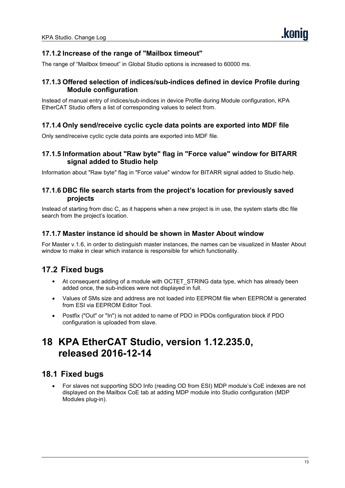#### **17.1.2 Increase of the range of"Mailbox timeout"**

The range of "Mailbox timeout" in Global Studio options is increased to 60000 ms.

#### **17.1.3 Offered selection of indices/sub-indices defined in device Profile during Module configuration**

Instead of manual entry of indices/sub-indices in device Profile during Module configuration, KPA EtherCAT Studio offers a list of corresponding values to select from.

#### **17.1.4 Only send/receive cyclic cycle data points are exported into MDF file**

Only send/receive cyclic cycle data points are exported into MDF file.

#### **17.1.5 Information about "Raw byte" flag in "Force value" window for BITARR signal added to Studio help**

Information about "Raw byte" flag in "Force value" window for BITARR signal added to Studio help.

#### **17.1.6 DBC file search starts from the project's location for previously saved projects**

Instead of starting from disc C, as it happens when a new project is in use, the system starts dbc file search from the project's location.

#### **17.1.7 Master instance id should be shown in Master About window**

For Master v.1.6, in order to distinguish master instances, the names can be visualized in Master About window to make in clear which instance is responsible for which functionality.

# **17.2 Fixed bugs**

- At consequent adding of a module with OCTET\_STRING data type, which has already been added once, the sub-indices were not displayed in full.
- Values of SMs size and address are not loaded into EEPROM file when EEPROM is generated from ESI via EEPROM Editor Tool.
- Postfix ("Out" or "In") is not added to name of PDO in PDOs configuration block if PDO configuration is uploaded from slave.

# <span id="page-12-0"></span>**18 KPA EtherCAT Studio, version 1.12.235.0, released 2016-12-14**

#### **18.1 Fixed bugs**

 For slaves not supporting SDO Info (reading OD from ESI) MDP module's CoE indexes are not displayed on the Mailbox CoE tab at adding MDP module into Studio configuration (MDP Modules plug-in).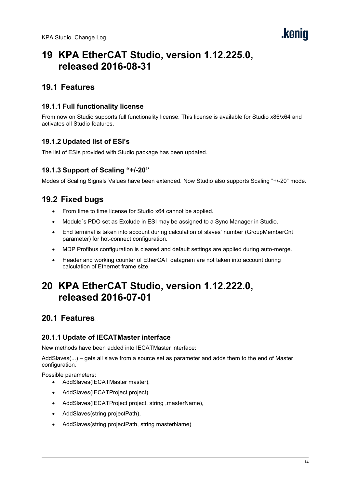# <span id="page-13-0"></span>**19 KPA EtherCAT Studio, version 1.12.225.0, released 2016-08-31**

### **19.1 Features**

#### **19.1.1 Full functionality license**

From nowon Studio supports full functionality license. This license is available for Studio x86/x64 and activates all Studio features.

#### **19.1.2 Updated list of ESI's**

The list of ESIs provided with Studio package has been updated.

#### **19.1.3 Support of Scaling "+/-20"**

Modes of Scaling Signals Values have been extended. Now Studio also supports Scaling "+/-20" mode.

### **19.2 Fixed bugs**

- From time to time license for Studio x64 cannot be applied.
- Module`s PDO set as Exclude in ESI may be assigned to a Sync Manager in Studio.
- End terminal is taken into account during calculation of slaves' number (GroupMemberCnt parameter) for hot-connect configuration.
- MDP Profibus configuration is cleared and default settings are applied during auto-merge.
- Header and working counter of EtherCAT datagram are not taken into account during calculation of Ethernet frame size.

# <span id="page-13-1"></span>**20 KPA EtherCAT Studio, version 1.12.222.0, released 2016-07-01**

# **20.1 Features**

#### **20.1.1 Update of IECATMaster interface**

New methods have been added into IECATMaster interface:

AddSlaves(...) – gets all slave from a source set as parameter and adds them to the end of Master configuration.

Possible parameters:

- AddSlaves(IECATMaster master),
- AddSlaves(IECATProject project),
- AddSlaves(IECATProject project, string ,masterName),
- AddSlaves(string projectPath),
- AddSlaves(string projectPath, string masterName)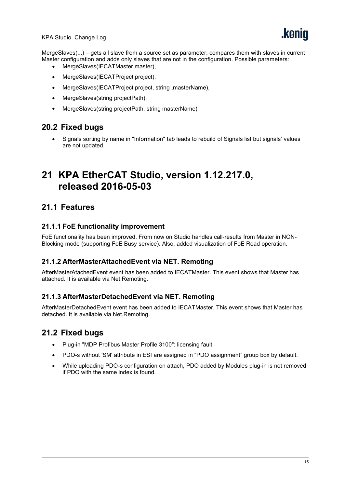MergeSlaves(...) – gets all slave from a source set as parameter, compares them with slaves in current Master configuration and adds only slaves that are not in the configuration. Possible parameters:

- MergeSlaves(IECATMaster master),
- MergeSlaves(IECATProject project),
- MergeSlaves(IECATProject project, string ,masterName),
- MergeSlaves(string projectPath),
- MergeSlaves(string projectPath, string masterName)

### **20.2 Fixed bugs**

 Signals sorting by name in "Information" tab leads to rebuild of Signals list but signals' values are not updated.

# <span id="page-14-0"></span>**21 KPA EtherCAT Studio, version 1.12.217.0, released 2016-05-03**

### **21.1 Features**

#### **21.1.1 FoE functionality improvement**

FoE functionality has been improved. From now on Studio handles call-results from Master in NON-Blocking mode (supporting FoE Busy service). Also, added visualization of FoE Read operation.

#### **21.1.2 AfterMasterAttachedEvent via NET. Remoting**

AfterMasterAtachedEvent event has been added to IECATMaster. This event shows that Master has attached. It is available via Net.Remoting.

#### **21.1.3 AfterMasterDetachedEvent via NET. Remoting**

AfterMasterDetachedEvent event has been added to IECATMaster. This event shows that Master has detached. It is available via Net.Remoting.

- Plug-in "MDP Profibus Master Profile 3100": licensing fault.
- PDO-s without 'SM' attribute in ESI are assigned in "PDO assignment" group box by default.
- While uploading PDO-s configuration on attach, PDO added by Modules plug-in is not removed if PDO with the same index is found.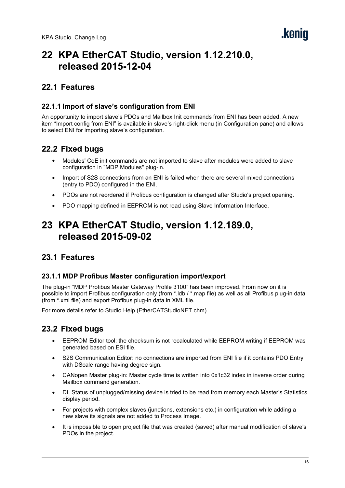# <span id="page-15-0"></span>**22 KPA EtherCAT Studio, version 1.12.210.0, released 2015-12-04**

### **22.1 Features**

#### **22.1.1 Import of slave's configuration from ENI**

An opportunity to import slave's PDOs and Mailbox Init commands from ENI has been added. A new item "Import config from ENI" is available in slave's right-click menu (in Configuration pane) and allows to select ENI for importing slave's configuration.

# **22.2 Fixed bugs**

- Modules' CoE init commands are not imported to slave after modules were added to slave configuration in "MDP Modules" plug-in.
- Import of S2S connections from an ENI is failed when there are several mixed connections (entry to PDO) configured in the ENI.
- PDOs are not reordered if Profibus configuration is changed after Studio's project opening.
- PDO mapping defined in EEPROM is not read using Slave Information Interface.

# <span id="page-15-1"></span>**23 KPA EtherCAT Studio, version 1.12.189.0, released 2015-09-02**

# **23.1 Features**

#### **23.1.1 MDP Profibus Master configuration import/export**

The plug-in "MDP Profibus Master Gateway Profile 3100" has been improved. From nowon it is possible to import Profibus configuration only (from \*.ldb / \*.map file) as well as all Profibus plug-in data (from \*.xml file) and export Profibus plug-in data in XML file.

For more details refer to Studio Help (EtherCATStudioNET.chm).

- EEPROM Editor tool: the checksum is not recalculated while EEPROM writing if EEPROM was generated based on ESI file.
- S2S Communication Editor: no connections are imported from ENI file if it contains PDO Entry with DScale range having degree sign.
- CANopen Master plug-in: Master cycle time is written into 0x1c32 index in inverse order during Mailbox command generation.
- DL Status of unplugged/missing device is tried to be read from memory each Master's Statistics display period.
- For projects with complex slaves (junctions, extensions etc.) in configuration while adding a new slave its signals are not added to Process Image.
- It is impossible to open project file that was created (saved) after manual modification of slave's PDOs in the project.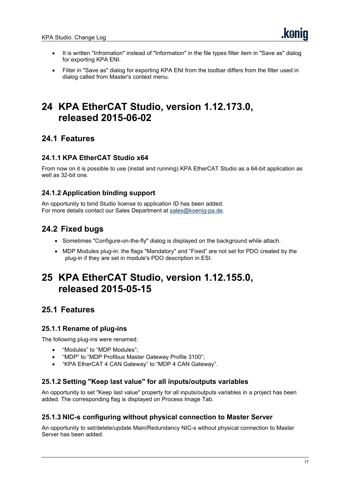- It is written "Infromation" instead of "Information" in the file types filter item in "Save as" dialog for exporting KPA ENI.
- Filter in "Save as" dialog for exporting KPA ENI from the toolbar differs from the filter used in dialog called from Master's context menu.

# <span id="page-16-0"></span>**24 KPA EtherCAT Studio, version 1.12.173.0, released 2015-06-02**

# **24.1 Features**

#### **24.1.1 KPA EtherCAT Studio x64**

From nowon it is possible to use (install and running) KPA EtherCAT Studio as a 64-bit application as well as 32-bit one.

#### **24.1.2 Application binding support**

An opportunity to bind Studio license to application ID has been added. For more details contact our Sales Department at [sales@koenig-pa.de](mailto:sales@koenig-pa.de).

# **24.2 Fixed bugs**

- Sometimes "Configure-on-the-fly" dialog is displayed on the background while attach.
- MDP Modules plug-in: the flags "Mandatory" and "Fixed" are not set for PDO created by the plug-in if they are set in module's PDO description in ESI.

# <span id="page-16-1"></span>**25 KPA EtherCAT Studio, version 1.12.155.0, released 2015-05-15**

# **25.1 Features**

#### **25.1.1 Rename of plug-ins**

The following plug-ins were renamed:

- "Modules" to "MDP Modules";
- "MDP" to "MDP Profibus Master Gateway Profile 3100";
- "KPA EtherCAT 4 CAN Gateway" to "MDP 4 CAN Gateway".

#### **25.1.2 Setting "Keep last value" forall inputs/outputs variables**

An opportunity to set "Keep last value" property for all inputs/outputs variables in a project has been added. The corresponding flag is displayed on Process Image Tab.

#### **25.1.3 NIC-s configuring without physical connection to Master Server**

An opportunity to set/delete/update Main/Redundancy NIC-s without physical connection to Master Server has been added.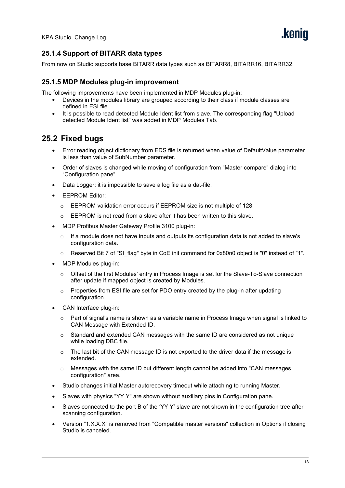#### **25.1.4 Support of BITARR data types**

From now on Studio supports base BITARR data types such as BITARR8, BITARR16, BITARR32.

#### **25.1.5 MDP Modules plug-in improvement**

The following improvements have been implemented in MDP Modules plug-in:

- Devices in the modules library are grouped according to their class if module classes are defined in ESI file.
- It is possible to read detected Module Ident list from slave. The corresponding flag "Upload detected Module Ident list" was added in MDP Modules Tab.

- Error reading object dictionary from EDS file isreturned when value of DefaultValue parameter is less than value of SubNumber parameter.
- Order of slaves is changed while moving of configuration from "Master compare" dialog into "Configuration pane".
- Data Logger: it is impossible to save a log file as a dat-file.
- EEPROM Editor:
	- o EEPROM validation error occurs if EEPROM size is not multiple of 128.
	- o EEPROM is not read from a slave after it has been written to this slave.
- MDP Profibus Master Gateway Profile 3100 plug-in:
	- o If a module does not have inputs and outputs its configuration data is not added to slave's configuration data.
	- $\circ$  Reserved Bit 7 of "SI flag" byte in CoE init command for 0x80n0 object is "0" instead of "1".
- MDP Modules plug-in:
	- $\circ$  Offset of the first Modules' entry in Process Image is set for the Slave-To-Slave connection after update if mapped object is created by Modules.
	- $\circ$  Properties from ESI file are set for PDO entry created by the plug-in after updating configuration.
- CAN Interface plug-in:
	- $\circ$  Part of signal's name is shown as a variable name in Process Image when signal is linked to CAN Message with Extended ID.
	- $\circ$  Standard and extended CAN messages with the same ID are considered as not unique while loading DBC file.
	- o The last bit of the CAN message ID is not exported to the driver data if the message is extended.
	- $\circ$  Messages with the same ID but different length cannot be added into "CAN messages configuration" area.
- Studio changes initial Master autorecovery timeout while attaching to running Master.
- Slaves with physics "YY Y" are shown without auxiliary pins in Configuration pane.
- Slaves connected to the port B of the 'YY Y' slave are not shown in the configuration tree after scanning configuration.
- Version "1.X.X.X" is removed from "Compatible master versions" collection in Options if closing Studio is canceled.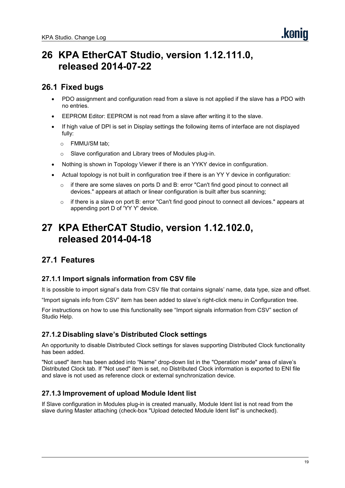# <span id="page-18-0"></span>**26 KPA EtherCAT Studio, version 1.12.111.0, released 2014-07-22**

# **26.1 Fixed bugs**

- PDO assignment and configuration read from a slave is not applied if the slave has a PDO with no entries.
- EEPROM Editor: EEPROM is not read from a slave after writing it to the slave.
- If high value of DPI is set in Display settings the following items of interface are not displayed fully:
	- o FMMU/SM tab;
	- o Slave configuration and Library trees of Modules plug-in.
- Nothing is shown in Topology Viewer if there is an YYKY device in configuration.
- Actual topology is not built in configuration tree if there is an YY Y device in configuration:
	- $\circ$  if there are some slaves on ports D and B: error "Can't find good pinout to connect all devices." appears at attach or linear configuration isbuilt after bus scanning;
	- $\circ$  if there is a slave on port B: error "Can't find good pinout to connect all devices." appears at appending port D of 'YY Y' device.

# <span id="page-18-1"></span>**27 KPA EtherCAT Studio, version 1.12.102.0, released 2014-04-18**

# **27.1 Features**

#### **27.1.1 Import signals information from CSV file**

It is possible to import signal's data from CSV file that contains signals' name, data type, size and offset.

"Import signals info from CSV" item has been added to slave's right-click menu in Configuration tree.

For instructions on how to use this functionality see "Import signals information from CSV" section of Studio Help.

#### **27.1.2 Disabling slave's Distributed Clock settings**

An opportunity to disable Distributed Clock settings for slaves supporting Distributed Clock functionality has been added.

"Not used" item has been added into "Name" drop-down list in the "Operation mode" area of slave's Distributed Clock tab. If "Not used" item is set, no Distributed Clock information is exported to ENI file and slave is not used as reference clock or external synchronization device.

#### **27.1.3 Improvement of upload Module Ident list**

If Slave configuration in Modules plug-in iscreated manually, Module Ident list is not read from the slave during Master attaching (check-box "Upload detected Module Ident list" is unchecked).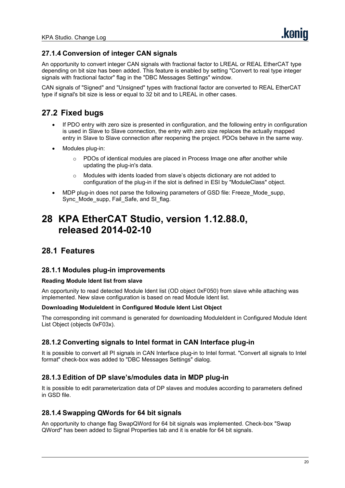#### **27.1.4 Conversion of integer CAN signals**

An opportunity to convert integer CAN signals with fractional factor to LREAL or REAL EtherCAT type depending on bit size has been added. This feature is enabled by setting "Convert to real type integer signals with fractional factor" flag in the "DBC Messages Settings" window.

CAN signals of "Signed" and "Unsigned" types with fractional factor are converted to REAL EtherCAT type if signal's bit size is less or equal to 32 bit and to LREAL in other cases.

# **27.2 Fixed bugs**

- If PDO entry with zero size is presented in configuration, and the following entry in configuration is used in Slave to Slave connection, the entry with zero size replaces the actually mapped entry in Slave to Slave connection after reopening the project. PDOs behave in the same way.
- Modules plug-in:
	- $\circ$  PDOs of identical modules are placed in Process Image one after another while updating the plug-in's data.
	- o Modules with idents loaded from slave's objects dictionary are not added to configuration of the plug-in if the slot is defined in ESI by "ModuleClass" object.
- MDP plug-in does not parse the following parameters of GSD file: Freeze Mode supp, Sync\_Mode\_supp, Fail\_Safe, and SI\_flag.

# <span id="page-19-0"></span>**28 KPA EtherCAT Studio, version 1.12.88.0, released 2014-02-10**

### **28.1 Features**

#### **28.1.1 Modules plug-in improvements**

#### **Reading Module Ident list from slave**

An opportunity to read detected Module Ident list (OD object 0xF050) from slave while attaching was implemented. New slave configuration is based on read Module Ident list.

#### **Downloading ModuleIdent in Configured Module Ident List Object**

The corresponding init command is generated for downloading ModuleIdent in Configured Module Ident List Object (objects 0xF03x).

#### **28.1.2 Converting signals to Intel format in CAN Interface plug-in**

It is possible to convert all PI signals in CAN Interface plug-in to Intel format. "Convert all signals to Intel format" check-box was added to "DBC Messages Settings" dialog.

#### **28.1.3 Edition of DP slave's/modules data in MDP plug-in**

It is possible to edit parameterization data of DP slaves and modules according to parameters defined in GSD file.

#### **28.1.4 Swapping QWords for 64 bit signals**

An opportunity to change flag SwapQWord for 64 bit signals was implemented. Check-box "Swap QWord" has been added to Signal Properties tab and it is enable for 64 bit signals.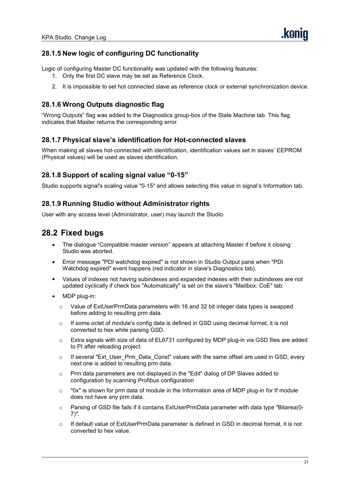#### **28.1.5 New logic of configuring DC functionality**

Logic of configuring Master DC functionality was updated with the following features:

- 1. Only the first DC slave may be set as Reference Clock.
- 2. It is impossible to set hot connected slave as reference clock or external synchronization device.

#### **28.1.6 Wrong Outputs diagnostic flag**

"Wrong Outputs" flag was added to the Diagnostics group-box of the State Machine tab. This flag indicates that Master returns the corresponding error.

#### **28.1.7 Physical slave's identification for Hot-connected slaves**

When making all slaves hot-connected with identification, identification values set in slaves' EEPROM (Physical values) will be used as slaves identification.

#### **28.1.8 Support of scaling signal value "0-15"**

Studio supports signal's scaling value "0-15" and allows selecting this value in signal's Information tab.

#### **28.1.9 Running Studio without Administrator rights**

User with any access level (Administrator, user) may launch the Studio.

- The dialogue "Compatible master version" appears at attaching Master if before it closing Studio was aborted.
- Error message "PDI watchdog expired" is not shown in Studio Output pane when "PDI Watchdog expired" event happens (red indicator in slave's Diagnostics tab).
- Values of indexes not having subindexes and expanded indexes with their subindexes are not updated cyclically if check box "Automatically" is set on the slave's "Mailbox: CoE" tab.
- MDP plug-in:
	- $\circ$  Value of ExtUserPrmData parameters with 16 and 32 bit integer data types is swapped before adding to resulting prm data.
	- $\circ$  If some octet of module's config data is defined in GSD using decimal format, it is not converted to hex while parsing GSD.
	- $\circ$  Extra signals with size of data of EL6731 configured by MDP plug-in via GSD files are added to PI after reloading project.
	- $\circ$  If several "Ext User Prm Data Const" values with the same offset are used in GSD, every next one is added to resulting prm data.
	- $\circ$  Prm data parameters are not displayed in the "Edit" dialog of DP Slaves added to configuration by scanning Profibus configuration
	- $\circ$  "0x" is shown for prm data of module in the Information area of MDP plug-in for If module does not have any prm data.
	- $\circ$  Parsing of GSD file fails if it contains ExtUserPrmData parameter with data type "Bitarea(0-7)".
	- $\circ$  If default value of ExtUserPrmData parameter is defined in GSD in decimal format, it is not converted to hex value.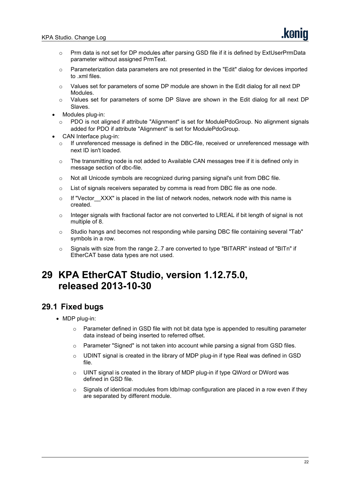- $\circ$  Prm data is not set for DP modules after parsing GSD file if it is defined by ExtUserPrmData parameter without assigned PrmText.
- $\circ$  Parameterization data parameters are not presented in the "Edit" dialog for devices imported to .xml files.
- $\circ$  Values set for parameters of some DP module are shown in the Edit dialog for all next DP Modules.
- o Values set for parameters of some DP Slave are shown in the Edit dialog for all next DP Slaves.
- Modules plug-in:
	- $\circ$  PDO is not aligned if attribute "Alignment" is set for ModulePdoGroup. No alignment signals added for PDO if attribute "Alignment" is set for ModulePdoGroup.
- CAN Interface plug-in:
	- $\circ$  If unreferenced message is defined in the DBC-file, received or unreferenced message with next ID isn't loaded.
	- $\circ$  The transmitting node is not added to Available CAN messages tree if it is defined only in message section of dbc-file.
	- $\circ$  Not all Unicode symbols are recognized during parsing signal's unit from DBC file.
	- o List of signals receivers separated by comma is read from DBC file as one node.
	- $\circ$  If "Vector XXX" is placed in the list of network nodes, network node with this name is created.
	- $\circ$  Integer signals with fractional factor are not converted to LREAL if bit length of signal is not multiple of 8.
	- <sup>o</sup> Studio hangs and becomes not responding while parsing DBC file containing several "Tab" symbols in <sup>a</sup> row.
	- $\circ$  Signals with size from the range 2..7 are converted to type "BITARR" instead of "BITn" if EtherCAT base data types are not used.

# <span id="page-21-0"></span>**29 KPA EtherCAT Studio, version 1.12.75.0, released 2013-10-30**

- MDP plug-in:
	- $\circ$  Parameter defined in GSD file with not bit data type is appended to resulting parameter data instead of being inserted to referred offset.
	- o Parameter "Signed" is not taken into account while parsing a signal from GSD files.
	- $\circ$  UDINT signal is created in the library of MDP plug-in if type Real was defined in GSD file.
	- $\circ$  UINT signal is created in the library of MDP plug-in if type QWord or DWord was defined in GSD file.
	- o Signals of identical modules from ldb/map configuration are placed in a row even if they are separated by different module.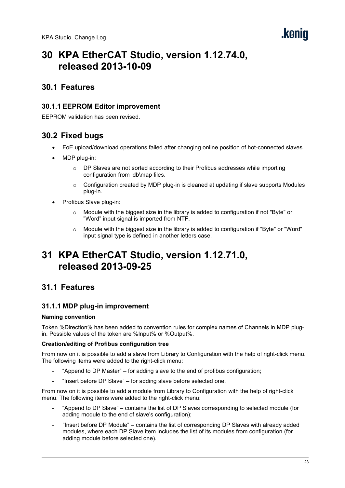# <span id="page-22-0"></span>**30 KPA EtherCAT Studio, version 1.12.74.0, released 2013-10-09**

### **30.1 Features**

#### **30.1.1 EEPROM Editor improvement**

EEPROM validation has been revised.

### **30.2 Fixed bugs**

- FoE upload/download operations failed after changing online position of hot-connected slaves.
- MDP plug-in:
	- o DP Slaves are not sorted according to their Profibus addresses while importing configuration from ldb\map files.
	- $\circ$  Configuration created by MDP plug-in is cleaned at updating if slave supports Modules plug-in.
- Profibus Slave plug-in:
	- Module with the biggest size in the library is added to configuration if not "Byte" or "Word" input signal is imported from NTF.
	- $\circ$  Module with the biggest size in the library is added to configuration if "Byte" or "Word" input signal type is defined in another letters case.

# <span id="page-22-1"></span>**31 KPA EtherCAT Studio, version 1.12.71.0, released 2013-09-25**

### **31.1 Features**

#### **31.1.1 MDP plug-in improvement**

#### **Naming convention**

Token %Direction% has been added to convention rules for complex names of Channels in MDP plugin. Possible values of the token are %Input% or %Output%.

#### **Creation/editing of Profibus configuration tree**

From nowon it is possible to add a slave from Library to Configuration with the help of right-click menu. The following items were added to the right-click menu:

- "Append to DP Master" for adding slave to the end of profibus configuration;
- "Insert before DP Slave" for adding slave before selected one.

From nowon it is possible to add a module from Library to Configuration with the help of right-click menu. The following items were added to the right-click menu:

- "Append to DP Slave" contains the list of DP Slaves corresponding to selected module (for adding module to the end of slave's configuration);
- "Insert before DP Module" contains the list of corresponding DP Slaves with already added modules, where each DP Slave item includes the list of its modules from configuration (for adding module before selected one).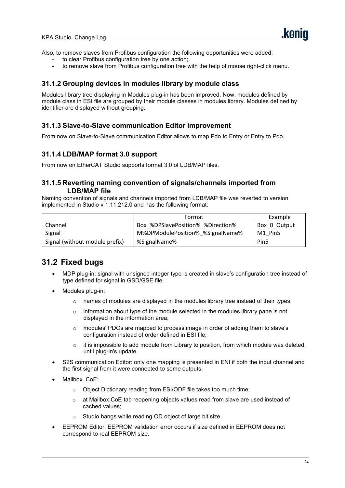Also, to remove slaves from Profibus configuration the following opportunities were added:

- to clear Profibus configuration tree by one action;
- to remove slave from Profibus configuration tree with the help of mouse right-click menu.

#### **31.1.2 Grouping devices in modules library by module class**

Modules library tree displaying in Modules plug-in has been improved. Now, modules defined by module class in ESI file are grouped by their module classes in modules library. Modules defined by identifier are displayed without grouping.

#### **31.1.3 Slave-to-Slave communication Editor improvement**

From nowon Slave-to-Slave communication Editor allows to map Pdo to Entry or Entry to Pdo.

#### **31.1.4 LDB/MAP format 3.0 support**

From now on EtherCAT Studio supports format 3.0 of LDB/MAP files.

#### **31.1.5 Reverting naming convention of signals/channels imported from LDB/MAP file**

Naming convention of signals and channels imported from LDB/MAP file was reverted to version implemented in Studio v 1.11.212.0 and has the following format:

|                                | Format                            | Example          |
|--------------------------------|-----------------------------------|------------------|
| Channel                        | Box %DPSlavePosition% %Direction% | Box 0 Output     |
| Signal                         | M%DPModulePosition% %SignalName%  | M1 Pin5          |
| Signal (without module prefix) | %SignalName%                      | Pin <sub>5</sub> |

- MDP plug-in: signal with unsigned integer type is created in slave's configuration tree instead of type defined for signal in GSD/GSE file.
- Modules plug-in:
	- $\circ$  names of modules are displayed in the modules library tree instead of their types;
	- $\circ$  information about type of the module selected in the modules library pane is not displayed in the information area;
	- $\circ$  modules' PDOs are mapped to process image in order of adding them to slave's configuration instead of order defined in ESI file;
	- $\circ$  it is impossible to add module from Library to position, from which module was deleted, until plug-in's update.
- S2S communication Editor: only one mapping is presented in ENI if both the input channel and the first signal from it were connected to some outputs.
- Mailbox. CoE:
	- o Object Dictionary reading from ESI/ODF file takes too much time;
	- o at Mailbox:CoE tab reopening objects values read from slave are used instead of cached values;
	- Studio hangs while reading OD object of large bit size.
- EEPROM Editor: EEPROM validation error occurs if size defined in EEPROM does not correspond to real EEPROM size.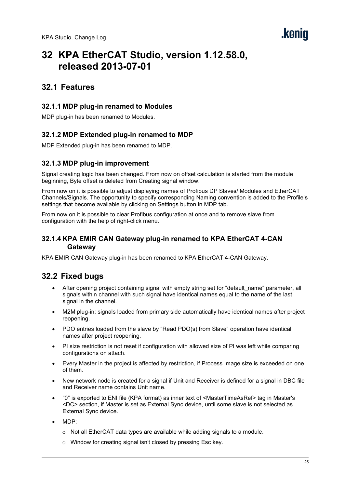# <span id="page-24-0"></span>**32 KPA EtherCAT Studio, version 1.12.58.0, released 2013-07-01**

### **32.1 Features**

#### **32.1.1 MDP plug-in renamed to Modules**

MDP plug-in has been renamed to Modules.

#### **32.1.2 MDP Extended plug-in renamed to MDP**

MDP Extended plug-in has been renamed to MDP.

#### **32.1.3 MDP plug-in improvement**

Signal creating logic has been changed. From nowon offset calculation is started from the module beginning, Byte offset is deleted from Creating signal window.

From nowon it is possible to adjust displaying names of Profibus DP Slaves/ Modules and EtherCAT Channels/Signals. The opportunity to specify corresponding Naming convention is added to the Profile's settings that become available by clicking on Settings button in MDP tab.

From nowon it is possible to clear Profibus configuration at once and to remove slave from configuration with the help of right-click menu.

#### **32.1.4 KPA EMIR CAN Gateway plug-in renamed to KPA EtherCAT 4-CAN Gateway**

KPA EMIR CAN Gateway plug-in has been renamed to KPA EtherCAT 4-CAN Gateway.

- After opening project containing signal with empty string set for "default name" parameter, all signals within channel with such signal have identical names equal to the name of the last signal in the channel.
- M2M plug-in: signals loaded from primary side automatically have identical names after project reopening.
- PDO entries loaded from the slave by "Read PDO(s) from Slave" operation have identical names after project reopening.
- PI size restriction is not resetif configuration with allowed size of PI was left while comparing configurations on attach.
- Every Master in the project is affected by restriction, if Process Image size is exceeded on one of them.
- New network node is created for a signal if Unit and Receiver is defined for a signal in DBC file and Receiver name contains Unit name.
- "0" is exported to ENI file (KPA format) as inner text of <MasterTimeAsRef> tag in Master's <DC> section, if Master is set as External Sync device, until some slave isnotselected as External Sync device.
- MDP:
	- $\circ$  Not all EtherCAT data types are available while adding signals to a module.
	- o Window for creating signal isn't closed by pressing Esc key.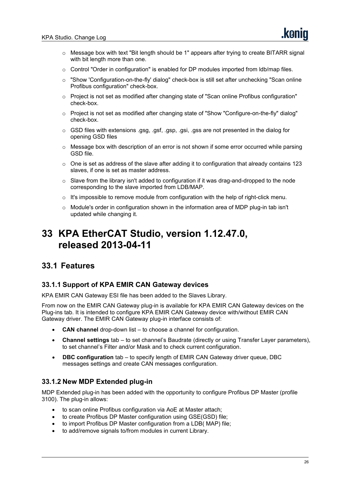- o Message box with text "Bit length should be 1" appears after trying to create BITARR signal with bit length more than one.
- $\circ$  Control "Order in configuration" is enabled for DP modules imported from ldb/map files.
- o "Show 'Configuration-on-the-fly' dialog" check-box is still set after unchecking "Scan online Profibus configuration" check-box.
- o Project is not set as modified after changing state of "Scan online Profibus configuration" check-box.
- o Project is not set as modified after changing state of "Show "Configure-on-the-fly" dialog" check-box.
- o GSD files with extensions .gsg, .gsf, .gsp, .gsi, .gss are not presented in the dialog for opening GSD files
- $\circ$  Message box with description of an error is not shown if some error occurred while parsing GSD file.
- $\circ$  One is set as address of the slave after adding it to configuration that already contains 123 slaves, if one is set as master address.
- $\circ$  Slave from the library isn't added to configuration if it was drag-and-dropped to the node corresponding to the slave imported from LDB/MAP.
- $\circ$  It's impossible to remove module from configuration with the help of right-click menu.
- o Module's order in configuration shown in the information area of MDP plug-in tab isn't updated while changing it.

# <span id="page-25-0"></span>**33 KPA EtherCAT Studio, version 1.12.47.0, released 2013-04-11**

### **33.1 Features**

#### **33.1.1 Support of KPA EMIR CAN Gateway devices**

KPA EMIR CAN Gateway ESI file has been added to the Slaves Library.

From now on the EMIR CAN Gateway plug-in is available for KPA EMIR CAN Gateway devices on the Plug-ins tab. It is intended to configure KPA EMIR CAN Gateway device with/without EMIR CAN Gateway driver. The EMIR CAN Gateway plug-in interface consists of:

- **CAN channel** drop-down list to choose a channel for configuration.
- **Channel settings** tab to set channel's Baudrate (directly or using Transfer Layer parameters), to set channel's Filter and/or Mask and to check current configuration.
- **DBC configuration** tab to specify length of EMIR CAN Gateway driver queue, DBC messages settings and create CAN messages configuration.

#### **33.1.2 New MDP Extended plug-in**

MDP Extended plug-in has been added with the opportunity to configure Profibus DP Master (profile 3100). The plug-in allows:

- to scan online Profibus configuration via AoE at Master attach;
- to create Profibus DP Master configuration using GSE(GSD) file;
- to import Profibus DP Master configuration from a LDB( MAP) file;
- to add/remove signals to/from modules in current Library.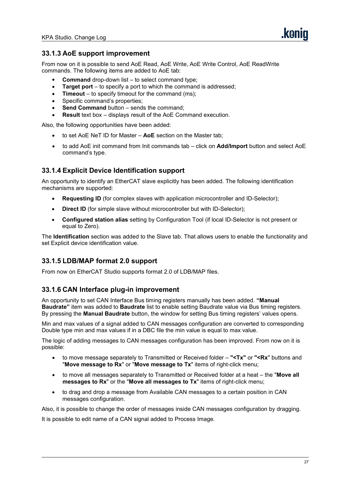#### **33.1.3 AoE support improvement**

From nowon it is possible to send AoE Read, AoE Write, AoE Write Control, AoE ReadWrite commands. The following items are added to AoE tab:

- **Command** drop-down list to select command type;
- **Target port** to specify a port to which the command is addressed;
- **Timeout** to specify timeout for the command (ms);
- Specific command's properties:
- **Send Command** button sends the command;
- **Result** text box displays result of the AoE Command execution.

Also, the following opportunities have been added:

- to set AoE NeT ID for Master **AoE** section on the Master tab;
- to add AoE init command from Init commands tab click on **Add/Import** button and select AoE command's type.

#### **33.1.4 Explicit Device Identification support**

An opportunity to identify an EtherCAT slave explicitly has been added. The following identification mechanisms are supported:

- **Requesting ID** (for complex slaves with application microcontroller and ID-Selector);
- **Direct ID** (for simple slave without microcontroller but with ID-Selector);
- **Configured station alias** setting by Configuration Tool (if local ID-Selector is not present or equal to Zero).

The **Identification** section was added to the Slave tab. That allows users to enable the functionality and set Explicit device identification value.

#### **33.1.5 LDB/MAP format 2.0 support**

From now on EtherCAT Studio supports format 2.0 of LDB/MAP files.

#### **33.1.6 CAN Interface plug-in improvement**

An opportunity to set CAN Interface Bus timing registers manually has been added. **"Manual Baudrate"** item was added to **Baudrate** list to enable setting Baudrate value via Bus timing registers. By pressing the **Manual Baudrate** button, the window for setting Bus timing registers' values opens.

Min and max values of a signal added to CAN messages configuration are converted to corresponding Double type min and max values if in a DBC file the min value is equal to max value.

The logic of adding messages to CAN messages configuration has been improved. From nowon it is possible:

- to move message separately to Transmitted or Received folder **"<Tx"** or **"<Rx**" buttons and "**Move message to Rx**" or "**Move message to Tx**" items of right-click menu;
- to move all messages separately to Transmitted or Received folder at a heat the "**Move all messages to Rx**" or the "**Move all messages to Tx**" items of right-click menu;
- to drag and drop a message from Available CAN messages to a certain position in CAN messages configuration.

Also, it is possible to change the order of messages inside CAN messages configuration by dragging.

It is possible to edit name of a CAN signal added to Process Image.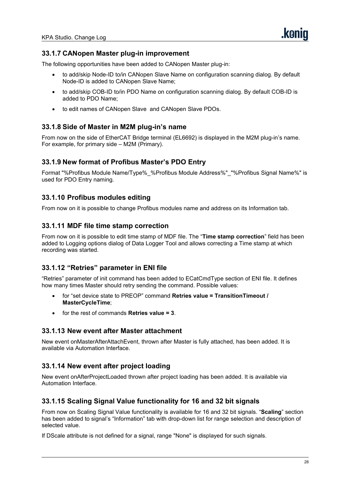#### **33.1.7 CANopen Master plug-in improvement**

The following opportunities have been added to CANopen Master plug-in:

- to add/skip Node-ID to/in CANopen Slave Name on configuration scanning dialog. By default Node-ID is added to CANopen Slave Name;
- to add/skip COB-ID to/in PDO Name on configuration scanning dialog. By default COB-ID is added to PDO Name;
- to edit names of CANopen Slave and CANopen Slave PDOs.

#### **33.1.8 Side of Master in M2M plug-in's name**

From nowon the side of EtherCAT Bridge terminal (EL6692) is displayed in the M2M plug-in's name. For example, for primary side – M2M (Primary).

#### **33.1.9 New format of Profibus Master's PDO Entry**

Format "%Profibus Module Name/Type%\_%Profibus Module Address%"\_"%Profibus Signal Name%" is used for PDO Entry naming.

#### **33.1.10 Profibus modules editing**

From nowon it is possible to change Profibus modules name and address on its Information tab.

#### **33.1.11 MDF file time stamp correction**

From nowon it is possible to edit time stamp of MDF file. The "**Time stamp correction**" field has been added to Logging options dialog of Data Logger Tool and allows correcting a Time stamp at which recording was started.

#### **33.1.12 "Retries" parameter in ENI file**

"Retries" parameter ofinit command has been added to ECatCmdType section of ENI file. It defines how many times Master should retry sending the command. Possible values:

- for "set device state to PREOP" command **Retries value = TransitionTimeout / MasterCycleTime**;
- for the rest of commands **Retries value = 3**.

#### **33.1.13 New event after Master attachment**

New event onMasterAfterAttachEvent, thrown after Master is fully attached, has been added. It is available via Automation Interface.

#### **33.1.14 New event after project loading**

New event onAfterProjectLoaded thrown after project loading has been added. It is available via Automation Interface.

#### **33.1.15 Scaling Signal Value functionality for 16 and 32 bit signals**

From nowon Scaling Signal Value functionality is available for 16 and 32 bit signals. "**Scaling**" section has been added to signal's "Information" tab with drop-down list for range selection and description of selected value.

If DScale attribute is not defined for a signal, range "None" is displayed for such signals.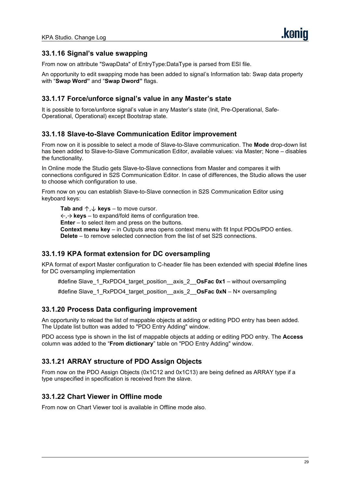#### **33.1.16 Signal's value swapping**

From now on attribute "SwapData" of EntryType:DataType is parsed from ESI file.

An opportunity to edit swapping mode has been added to signal's Information tab: Swap data property with "**Swap Word"** and "**Swap Dword"** flags.

#### **33.1.17 Force/unforce signal's value in any Master's state**

It is possible to force/unforce signal's value in any Master's state (Init, Pre-Operational, Safe- Operational, Operational) except Bootstrap state.

#### **33.1.18 Slave-to-Slave Communication Editor improvement**

From nowon it is possible to select a mode of Slave-to-Slave communication. The **Mode** drop-down list has been added to Slave-to-Slave Communication Editor, available values: via Master; None – disables the functionality.

In Online mode the Studio gets Slave-to-Slave connections from Master and compares it with connections configured in S2S Communication Editor. In case of differences, the Studio allows the user to choose which configuration to use.

From nowon you can establish Slave-to-Slave connection in S2S Communication Editor using keyboard keys:

**Tab and**  $\uparrow$ ,  $\downarrow$  **keys** – to move cursor. ←,→ **keys** – to expand/fold items of configuration tree. **Enter** – to select item and press on the buttons. **Context menu key** – in Outputs area opens context menu with fit Input PDOs/PDO enties. **Delete** – to remove selected connection from the list of set S2S connections.

#### **33.1.19 KPA format extension for DC oversampling**

KPA format of export Master configuration to C-header file has been extended with special #define lines for DC oversampling implementation

#define Slave\_1\_RxPDO4\_target\_position\_\_axis\_2\_\_**OsFac 0x1** – without oversampling

#define Slave\_1\_RxPDO4\_target\_position\_\_axis\_2\_\_**OsFac 0xN** – N× oversampling

#### **33.1.20 Process Data configuring improvement**

An opportunity to reload the list of mappable objects at adding or editing PDO entry has been added. The Update list button was added to "PDO Entry Adding" window.

PDO access type isshown in the list of mappable objects at adding or editing PDO entry.The **Access** column was added to the "**From dictionary**" table on "PDO Entry Adding" window.

#### **33.1.21 ARRAY structure of PDO Assign Objects**

From nowon the PDO Assign Objects (0x1C12 and 0x1C13) are being defined as ARRAY type if a type unspecified in specification is received from the slave.

#### **33.1.22 Chart Viewer in Offline mode**

From nowon Chart Viewer tool is available in Offline mode also.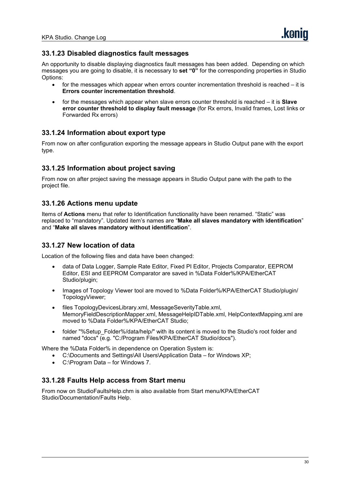#### **33.1.23 Disabled diagnostics fault messages**

An opportunity to disable displaying diagnostics fault messages has been added. Depending on which messages you are going to disable, it is necessary to **set "0"** for the corresponding properties in Studio Options:

- for the messages which appear when errors counter incrementation threshold is reached it is **Errors counter incrementation threshold**.
- for the messages which appear when slave errors counter threshold is reached it is **Slave error counter threshold to display fault message** (for Rx errors, Invalid frames, Lost links or Forwarded Rx errors)

#### **33.1.24 Information about export type**

From nowon after configuration exporting the message appears in Studio Output pane with the export type.

#### **33.1.25 Information about project saving**

From nowon after project saving the message appears in Studio Output pane with the path to the project file.

#### **33.1.26 Actions menu update**

Items of **Actions** menu that referto Identification functionality have been renamed. "Static" was replaced to "mandatory". Updated item's names are "**Make all slaves mandatory with identification**" and "**Make all slaves mandatory without identification**".

#### **33.1.27 New location of data**

Location of the following files and data have been changed:

- data of Data Logger, Sample Rate Editor, Fixed PI Editor, Projects Comparator, EEPROM Editor, ESI and EEPROM Comparator are saved in %Data Folder%/KPA/EtherCAT Studio/plugin;
- Images of Topology Viewer tool are moved to %Data Folder%/KPA/EtherCAT Studio/plugin/ TopologyViewer;
- files TopologyDevicesLibrary.xml, MessageSeverityTable.xml, MemoryFieldDescriptionMapper.xml, MessageHelpIDTable.xml, HelpContextMapping.xml are moved to %Data Folder%/KPA/EtherCAT Studio;
- folder "%Setup\_Folder%/data/help/" with its content is moved to the Studio's root folder and named "docs" (e.g. "C:/Program Files/KPA/EtherCAT Studio/docs").

Where the %Data Folder% in dependence on Operation System is:

- C:\Documents and Settings\All Users\Application Data for Windows XP;
- C:\Program Data for Windows 7.

#### **33.1.28 Faults Help access from Start menu**

From nowon StudioFaultsHelp.chm is also available from Start menu/KPA/EtherCAT Studio/Documentation/Faults Help.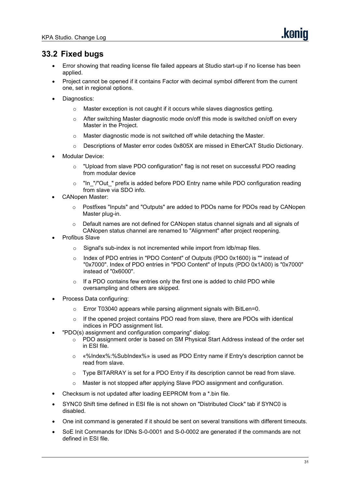- Error showing that reading license file failed appears at Studio start-up if no license has been applied.
- Project cannot be opened if it contains Factor with decimal symbol different from the current one, set in regional options.
- Diagnostics:
	- $\circ$  Master exception is not caught if it occurs while slaves diagnostics getting.
	- $\circ$  After switching Master diagnostic mode on/off this mode is switched on/off on every Master in the Project.
	- o Master diagnostic mode is not switched off while detaching the Master.
	- o Descriptions of Master error codes 0x805X are missed in EtherCAT Studio Dictionary.
- Modular Device:
	- o "Upload from slave PDO configuration" flag is not reset on successful PDO reading from modular device
	- $\circ$  "In "/"Out " prefix is added before PDO Entry name while PDO configuration reading from slave via SDO info.
- CANopen Master:
	- o Postfixes "Inputs" and "Outputs" are added to PDOs name for PDOs read by CANopen Master plug-in.
	- $\circ$  Default names are not defined for CANopen status channel signals and all signals of CANopen status channel are renamed to "Alignment" after project reopening.
- Profibus Slave
	- o Signal's sub-index is not incremented while import from ldb/map files.
	- o Index of PDO entries in "PDO Content" of Outputs (PDO 0x1600) is "" instead of "0x7000". Index of PDO entries in "PDO Content" of Inputs (PDO 0x1A00) is "0x7000" instead of "0x6000".
	- If a PDO contains few entries only the first one is added to child PDO while oversampling and others are skipped.
- Process Data configuring:
	- o Error T03040 appears while parsing alignment signals with BitLen=0.
	- $\circ$  If the opened project contains PDO read from slave, there are PDOs with identical indices in PDO assignment list.
- "PDO(s) assignment and configuration comparing" dialog:
	- o PDO assignment order is based on SM Physical Start Address instead of the order set in ESI file.
	- o «%Index%:%SubIndex%» is used as PDO Entry name if Entry's description cannot be read from slave.
	- $\circ$  Type BITARRAY is set for a PDO Entry if its description cannot be read from slave.
	- o Master is not stopped after applying Slave PDO assignment and configuration.
- Checksum is not updated after loading EEPROM from a \*.bin file.
- SYNC0 Shift time defined in ESI file is not shown on "Distributed Clock" tab if SYNC0 is disabled.
- One init command is generated if it should be sent on several transitions with different timeouts.
- SoE Init Commands for IDNs S-0-0001 and S-0-0002 are generated if the commands are not defined in ESI file.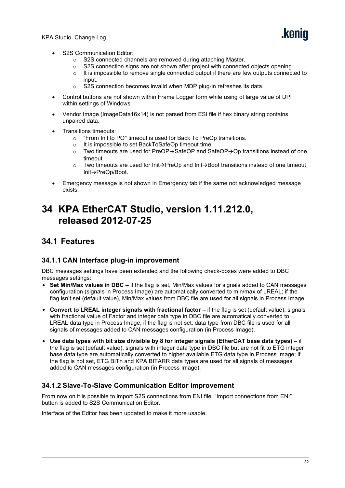- S2S Communication Editor:
	- $\circ$  S2S connected channels are removed during attaching Master.<br>  $\circ$  S2S connection signs are not shown after project with connecte
	- S2S connection signs are not shown after project with connected objects opening.
	- $\circ$  It is impossible to remove single connected output if there are few outputs connected to input
	- o S2S connection becomes invalid when MDP plug-in refreshes its data.
- Control buttons are not shown within Frame Logger form while using of large value of DPI within settings of Windows
- Vendor Image (ImageData16x14) is not parsed from ESI file if hex binary string contains unpaired data.
- Transitions timeouts:
	- $\circ$  "From Init to PO" timeout is used for Back To PreOp transitions.<br>  $\circ$  It is impossible to set BackToSafeOp timeout time.
	- It is impossible to set BackToSafeOp timeout time.<br>○ Two timeouts are used for PreOP  $\rightarrow$  SafeOP and Sa
	- Two timeouts are used for PreOP→SafeOP and SafeOP→Op transitions instead of one timeout.
	- o Two timeouts are used for Init→PreOp and Init→Boot transitions instead of one timeout Init→PreOp/Boot.
- Emergency message is not shown in Emergency tab if the same not acknowledged message exists.

# <span id="page-31-0"></span>**34 KPA EtherCAT Studio, version 1.11.212.0, released 2012-07-25**

### **34.1 Features**

#### **34.1.1 CAN Interface plug-in improvement**

DBC messages settings have been extended and the following check-boxes were added to DBC messages settings:

- **SetMin/Max values in DBC –** if the flag is set, Min/Max values for signals added to CAN messages configuration (signals in Process Image) are automatically converted to min/max of LREAL; if the flag isn't set (default value), Min/Max values from DBC file are used for all signals in Process Image.
- **Convert to LREAL integer signals with fractional factor –** if the flag is set (default value), signals with fractional value of Factor and integer data type in DBC file are automatically converted to LREAL data type in Process Image; if the flag is not set, data type from DBC file is used for all signals of messages added to CAN messages configuration (in Process Image).
- **Use data types with bit size divisible by 8 for integer signals (EtherCAT base data types) –** if the flag is set (default value), signals with integer data type in DBC file but are not fit to ETG integer base data type are automatically converted to higher available ETG data type in Process Image; if the flag is not set, ETG BITn and KPA BITARR data types are used for all signals of messages added to CAN messages configuration (in Process Image).

#### **34.1.2 Slave-To-Slave Communication Editor improvement**

From now on it is possible to import S2S connections from ENI file. "Import connections from ENI" button is added to S2S Communication Editor.

Interface of the Editor has been updated to make it more usable.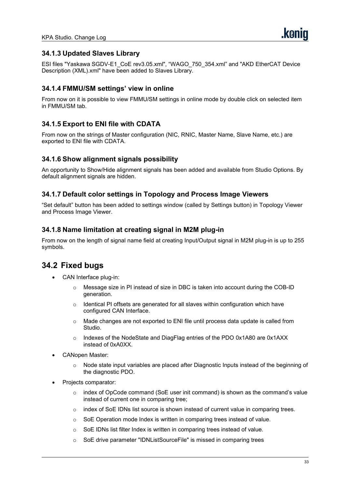#### **34.1.3 Updated Slaves Library**

ESI files "Yaskawa SGDV-E1\_CoE rev3.05.xml", "WAGO\_750\_354.xml" and "AKD EtherCAT Device Description (XML).xml" have been added to Slaves Library.

#### **34.1.4 FMMU/SM settings' view in online**

From nowon it is possible to view FMMU/SM settings in online mode by double click on selected item in FMMU/SM tab.

#### **34.1.5 Export to ENI file with CDATA**

From nowon the strings of Master configuration (NIC, RNIC, Master Name, Slave Name, etc.) are exported to ENI file with CDATA.

#### **34.1.6 Show alignment signals possibility**

An opportunity to Show/Hide alignment signals has been added and available from Studio Options. By default alignment signals are hidden.

#### **34.1.7 Default color settings in Topology and Process Image Viewers**

"Set default" button has been added to settings window (called by Settings button) in Topology Viewer and Process Image Viewer.

#### **34.1.8 Name limitation at creating signal in M2M plug-in**

From nowon the length of signal name field at creating Input/Output signal in M2M plug-in is up to 255 symbols.

- CAN Interface plug-in:
	- Message size in PI instead of size in DBC is taken into account during the COB-ID generation.
	- $\circ$  Identical PI offsets are generated for all slaves within configuration which have configured CAN Interface.
	- $\circ$  Made changes are not exported to ENI file until process data update is called from Studio.
	- o Indexes of the NodeState and DiagFlag entries of the PDO 0x1A80 are 0x1AXX instead of 0xA0XX.
- CANopen Master:
	- $\circ$  Node state input variables are placed after Diagnostic Inputs instead of the beginning of the diagnostic PDO.
- Projects comparator:
	- $\circ$  index of OpCode command (SoE user init command) is shown as the command's value instead of current one in comparing tree;
	- index of SoE IDNs list source is shown instead of current value in comparing trees.
	- $\circ$  SoE Operation mode Index is written in comparing trees instead of value.
	- o SoE IDNs list filter Index is written in comparing trees instead of value.
	- o SoE drive parameter "IDNListSourceFile" is missed in comparing trees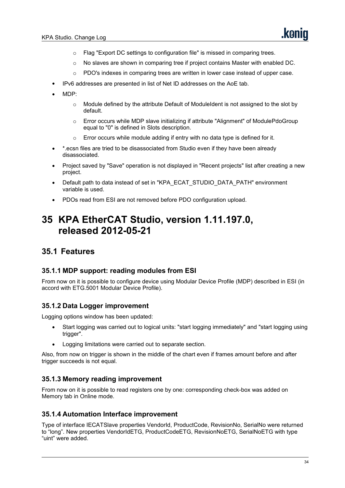- o Flag "Export DC settings to configuration file" is missed in comparing trees.
- $\circ$  No slaves are shown in comparing tree if project contains Master with enabled DC.
- $\circ$  PDO's indexes in comparing trees are written in lower case instead of upper case.
- IPv6 addresses are presented in list of Net ID addresses on the AoE tab.
- MDP:
	- $\circ$  Module defined by the attribute Default of ModuleIdent is not assigned to the slot by default.
	- o Error occurs while MDP slave initializing if attribute "Alignment" of ModulePdoGroup equal to "0" is defined in Slots description.
	- $\circ$  Error occurs while module adding if entry with no data type is defined for it.
- \*.ecsn files are tried to be disassociated from Studio even if they have been already disassociated.
- Project saved by "Save" operation is not displayed in "Recent projects" listafter creating a new project.
- Default path to data instead of set in "KPA\_ECAT\_STUDIO\_DATA\_PATH" environment variable is used.
- PDOs read from ESI are not removed before PDO configuration upload.

# <span id="page-33-0"></span>**35 KPA EtherCAT Studio, version 1.11.197.0, released 2012-05-21**

#### **35.1 Features**

#### **35.1.1 MDP support: reading modules from ESI**

From nowon it is possible to configure device using Modular Device Profile (MDP) described in ESI (in accord with ETG.5001 Modular Device Profile).

#### **35.1.2 Data Logger improvement**

Logging options window has been updated:

- Start logging was carried out to logical units: "start logging immediately" and "start logging using trigger".
- Logging limitations were carried out to separate section.

Also, from now on trigger is shown in the middle of the chart even if frames amount before and after trigger succeeds is not equal.

#### **35.1.3 Memory reading improvement**

From now on it is possible to read registers one by one: corresponding check-box was added on Memory tab in Online mode.

#### **35.1.4 Automation Interface improvement**

Type of interface IECATSlave properties VendorId, ProductCode, RevisionNo, SerialNo were returned to "long". New properties VendorIdETG, ProductCodeETG, RevisionNoETG, SerialNoETG with type "uint" were added.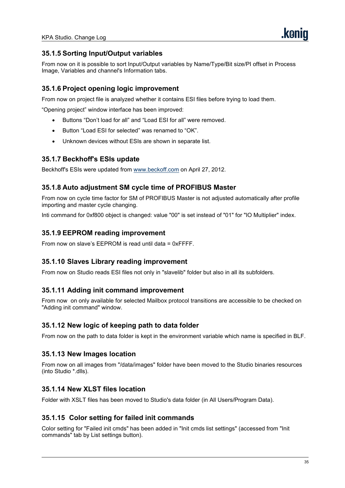#### **35.1.5 Sorting Input/Output variables**

From now on it is possible to sort Input/Output variables by Name/Type/Bit size/PI offset in Process Image, Variables and channel's Information tabs.

#### **35.1.6 Project opening logic improvement**

From nowon project file is analyzed whether it contains ESI files before trying to load them.

"Opening project" window interface has been improved:

- Buttons "Don't load for all" and "Load ESI for all" were removed.
- Button "Load ESI for selected" was renamed to "OK".
- Unknown devices without ESIs are shown in separate list.

#### **35.1.7 Beckhoff's ESIs update**

Beckhoff's ESIs were updated from [www.beckoff.com](http://www.beckoff.com) on April 27, 2012.

#### **35.1.8 Auto adjustment SM cycle time of PROFIBUS Master**

From nowon cycle time factor forSM of PROFIBUS Master is not adjusted automatically after profile importing and master cycle changing.

Inti command for 0xf800 object is changed: value "00" is set instead of "01" for "IO Multiplier" index.

#### **35.1.9 EEPROM reading improvement**

From nowon slave's EEPROM is read until data = 0xFFFF.

#### **35.1.10 Slaves Library reading improvement**

From now on Studio reads ESI files not only in "slavelib" folder but also in all its subfolders.

#### **35.1.11 Adding init command improvement**

From now on only available for selected Mailbox protocol transitions are accessible to be checked on "Adding init command" window.

#### **35.1.12 New logic of keeping path to data folder**

From now on the path to data folder is kept in the environment variable which name is specified in BLF.

#### **35.1.13 New Images location**

From nowon all images from "/data/images" folder have been moved to the Studio binaries resources (into Studio \*.dlls).

#### **35.1.14 New XLST files location**

Folder with XSLT files has been moved to Studio's data folder (in All Users/Program Data).

#### **35.1.15 Colorsetting for failed init commands**

Color setting for "Failed init cmds" has been added in "Init cmds list settings" (accessed from "Init commands" tab by List settings button).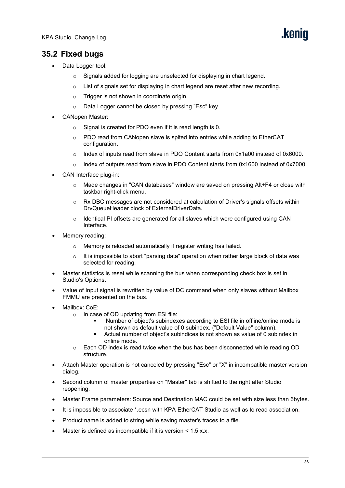- Data Logger tool:
	- o Signals added for logging are unselected for displaying in chart legend.
	- $\circ$  List of signals set for displaying in chart legend are reset after new recording.
	- $\circ$  Trigger is not shown in coordinate origin.
	- o Data Logger cannot be closed by pressing "Esc" key.
- CANopen Master:
	- $\circ$  Signal is created for PDO even if it is read length is 0.
	- o PDO read from CANopen slave is spited into entries while adding to EtherCAT configuration.
	- o Index of inputs read from slave in PDO Content starts from 0x1a00 instead of 0x6000.
	- $\circ$  Index of outputs read from slave in PDO Content starts from 0x1600 instead of 0x7000.
- CAN Interface plug-in:
	- Made changes in "CAN databases" window are saved on pressing Alt+F4 or close with taskbar right-click menu.
	- $\circ$  Rx DBC messages are not considered at calculation of Driver's signals offsets within DrvQueueHeader block of ExternalDriverData.
	- $\circ$  Identical PI offsets are generated for all slaves which were configured using CAN Interface.
- Memory reading:
	- o Memory is reloaded automatically if register writing has failed.
	- $\circ$  It is impossible to abort "parsing data" operation when rather large block of data was selected for reading.
- Master statistics is reset while scanning the bus when corresponding check box is set in Studio's Options.
- Value of Input signal is rewritten by value of DC command when only slaves without Mailbox FMMU are presented on the bus.
- Mailbox: CoE:
	-
	- o In case of OD updating from ESI file:<br> Number of object's subindexes according to ESI file in offline/online mode is not shown as default value of 0 subindex. ("Default Value" column).
		- Actual number of object's subindices is not shown as value of 0 subindex in online mode.
	- $\circ$  Each OD index is read twice when the bus has been disconnected while reading OD structure.
- Attach Master operation is not canceled by pressing "Esc" or "X" in incompatible master version dialog.
- Second column of master properties on "Master" tab is shifted to the right after Studio reopening.
- Master Frame parameters: Source and Destination MAC could be set with size less than 6bytes.
- It is impossible to associate \*.ecsn with KPA EtherCAT Studio as well as to read association.
- Product name is added to string while saving master's traces to a file.
- Master is defined as incompatible if it is version < 1.5.x.x.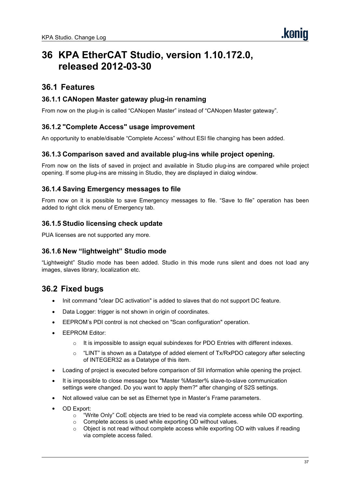# **36 KPA EtherCAT Studio, version 1.10.172.0, released 2012-03-30**

# **36.1 Features**

#### **36.1.1 CANopen Master gateway plug-in renaming**

From now on the plug-in is called "CANopen Master" instead of "CANopen Master gateway".

#### **36.1.2 "Complete Access" usage improvement**

An opportunity to enable/disable "Complete Access" without ESI file changing has been added.

#### **36.1.3 Comparison saved and available plug-ins while project opening.**

From now on the lists of saved in project and available in Studio plug-ins are compared while project opening. If some plug-ins are missing in Studio, they are displayed in dialog window.

#### **36.1.4 Saving Emergency messages to file**

From now on it is possible to save Emergency messages to file. "Save to file" operation has been added to right click menu of Emergency tab.

#### **36.1.5 Studio licensing check update**

PUA licenses are not supported any more.

#### **36.1.6 New "lightweight" Studio mode**

"Lightweight" Studio mode has been added. Studio in this mode runs silent and does not load any images, slaves library, localization etc.

- Init command "clear DC activation" is added to slaves that do not support DC feature.
- Data Logger: trigger is not shown in origin of coordinates.
- **EEPROM's PDI control is not checked on "Scan configuration" operation.**
- EEPROM Editor:
	- $\circ$  It is impossible to assign equal subindexes for PDO Entries with different indexes.
	- $\circ$  "LINT" is shown as a Datatype of added element of Tx/RxPDO category after selecting of INTEGER32 as a Datatype of this item.
- Loading of project is executed before comparison of SII information while opening the project.
- It is impossible to close message box "Master %Master% slave-to-slave communication settings were changed. Do you want to apply them?" after changing of S2S settings.
- Not allowed value can be set as Ethernet type in Master's Frame parameters.
- OD Export:
	- o "Write Only" CoE objects are tried to be read via complete access while OD exporting.
	- o Complete access is used while exporting OD without values.
	- $\circ$  Object is not read without complete access while exporting OD with values if reading via complete access failed.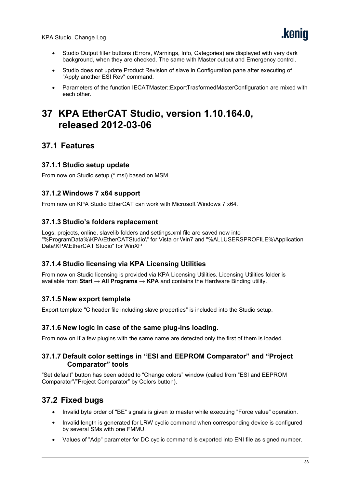- Studio Output filter buttons (Errors, Warnings, Info, Categories) are displayed with very dark background, when they are checked. The same with Master output and Emergency control.
- Studio does not update Product Revision of slave in Configuration pane after executing of "Apply another ESI Rev" command.
- Parameters of the function IECATMaster::ExportTrasformedMasterConfiguration are mixed with each other.

# **37 KPA EtherCAT Studio, version 1.10.164.0, released 2012-03-06**

# **37.1 Features**

## **37.1.1 Studio setup update**

From now on Studio setup (\*.msi) based on MSM.

#### **37.1.2 Windows 7 x64 support**

From nowon KPA Studio EtherCAT can work with Microsoft Windows 7 x64.

#### **37.1.3 Studio's folders replacement**

Logs, projects, online, slavelib folders and settings.xml file are saved now into "%ProgramData%\KPA\EtherCATStudio\" for Vista or Win7 and "%ALLUSERSPROFILE%\Application Data\KPA\EtherCAT Studio" for WinXP

#### **37.1.4 Studio licensing via KPA Licensing Utilities**

From now on Studio licensing is provided via KPA Licensing Utilities. Licensing Utilities folder is available from **Start → All Programs → KPA** and contains the Hardware Binding utility.

## **37.1.5 New export template**

Export template "C header file including slave properties" is included into the Studio setup.

#### **37.1.6 New logic in case of the same plug-ins loading.**

From now on If a few plugins with the same name are detected only the first of them is loaded.

#### **37.1.7 Default color settings in "ESI and EEPROM Comparator" and "Project Comparator" tools**

"Set default" button has been added to "Change colors" window (called from "ESI and EEPROM Comparator"/"Project Comparator" by Colors button).

- Invalid byte order of"BE" signals is given to master while executing "Force value" operation.
- Invalid length is generated for LRW cyclic command when corresponding device is configured by several SMs with one FMMU.
- Values of "Adp" parameter for DC cyclic command isexported into ENI file as signed number.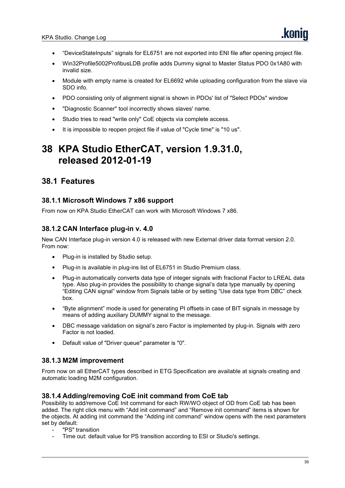- "DeviceStateInputs" signals for EL6751 are not exported into ENI file after opening project file.
- Win32Profile5002ProfibusLDB profile adds Dummy signal to Master Status PDO 0x1A80 with invalid size.
- Module with empty name is created for EL6692 while uploading configuration from the slave via SDO info.
- PDO consisting only of alignment signal is shown in PDOs' list of "Select PDOs" window
- "Diagnostic Scanner" tool incorrectly shows slaves' name.
- Studio tries to read "write only" CoE objects via complete access.
- It is impossible to reopen project file if value of "Cycle time" is "10 us".

# **38 KPA Studio EtherCAT, version 1.9.31.0, released 2012-01-19**

# **38.1 Features**

#### **38.1.1 Microsoft Windows 7 x86 support**

From now on KPA Studio EtherCAT can work with Microsoft Windows 7 x86.

## **38.1.2 CAN Interface plug-in v. 4.0**

New CAN Interface plug-in version 4.0 is released with new External driver data format version 2.0. From now:

- Plug-in is installed by Studio setup.
- Plug-in is available in plug-ins list of EL6751 in Studio Premium class.
- Plug-in automatically converts data type of integer signals with fractional Factor to LREAL data type. Also plug-in provides the possibility to change signal's data type manually by opening "Editing CAN signal" window from Signals table or by setting "Use data type from DBC" check box.
- "Byte alignment" mode is used for generating PI offsets in case of BIT signals in message by means of adding auxiliary DUMMY signal to the message.
- DBC message validation on signal's zero Factor is implemented by plug-in. Signals with zero Factor is not loaded.
- Default value of "Driver queue" parameter is "0".

## **38.1.3 M2M improvement**

From nowon all EtherCAT types described in ETG Specification are available at signals creating and automatic loading M2M configuration.

#### **38.1.4 Adding/removing CoE init command from CoE tab**

Possibility to add/remove CoE Init command for each RW/WO object of OD from CoE tab has been added. The right click menu with "Add init command" and "Remove init command" items is shown for the objects. At adding init command the "Adding initcommand" window opens with the next parameters set by default:

- "PS" transition
- Time out: default value for PS transition according to ESI or Studio's settings.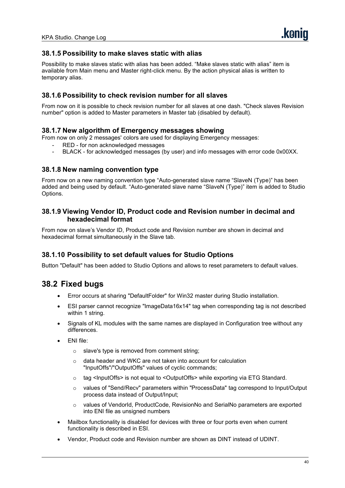#### **38.1.5 Possibility to make slaves static with alias**

Possibility to make slaves static with alias has been added. "Make slaves static with alias" item is available from Main menu and Master right-click menu. By the action physical alias is written to temporary alias.

### **38.1.6 Possibility to check revision number for all slaves**

From nowon it is possible to check revision number for all slaves at one dash. "Check slaves Revision number" option is added to Master parameters in Master tab (disabled by default).

#### **38.1.7 New algorithm of Emergency messages showing**

From nowon only 2 messages'colors are used for displaying Emergency messages:

- RED for non acknowledged messages
- BLACK for acknowledged messages (by user) and info messages with error code 0x00XX.

#### **38.1.8 New naming convention type**

From nowon a new naming convention type "Auto-generated slave name "SlaveN (Type)" has been added and being used by default. "Auto-generated slave name "SlaveN (Type)" item is added to Studio Options.

#### **38.1.9 Viewing Vendor ID, Product code and Revision number in decimal and hexadecimal format**

From nowon slave's Vendor ID, Product code and Revision number are shown in decimal and hexadecimal format simultaneously in the Slave tab.

#### **38.1.10 Possibility to set defaultvalues for Studio Options**

Button "Default" has been added to Studio Options and allows to reset parameters to default values.

- Error occurs at sharing "DefaultFolder" for Win32 master during Studio installation.
- ESI parser cannot recognize "ImageData16x14" tag when corresponding tag is not described within 1 string.
- Signals of KL modules with the same names are displayed in Configuration tree without any differences.
- ENI file:
	- o slave's type is removed from comment string;
	- o data header and WKC are not taken into account for calculation "InputOffs"/"OutputOffs" values of cyclic commands;
	- o tag <InputOffs> is not equal to <OutputOffs> while exporting via ETG Standard.
	- o values of "Send/Recv" parameters within "ProcessData" tag correspond to Input/Output process data instead of Output/Input;
	- o values of VendorId, ProductCode, RevisionNo and SerialNo parameters are exported into ENI file as unsigned numbers
- Mailbox functionality is disabled for devices with three or four ports even when current functionality is described in ESI.
- Vendor, Product code and Revision number are shown as DINT instead of UDINT.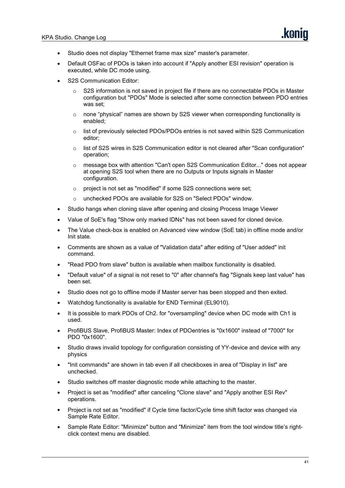- Studio does not display "Ethernet frame max size" master's parameter.
- Default OSFac of PDOs is taken into account if "Apply another ESI revision" operation is executed, while DC mode using.
- S2S Communication Editor:
	- $\circ$  S2S information is not saved in project file if there are no connectable PDOs in Master configuration but "PDOs" Mode isselected after some connection between PDO entries was set;
	- $\circ$  none "physical" names are shown by S2S viewer when corresponding functionality is enabled;
	- $\circ$  list of previously selected PDOs/PDOs entries is not saved within S2S Communication editor;
	- list of S2S wires in S2S Communication editor is not cleared after "Scan configuration" operation;
	- o message box with attention "Can't open S2S Communication Editor..." does not appear at opening S2S tool when there are no Outputs or Inputs signals in Master configuration.
	- o project is not set as "modified" if some S2S connections were set;
	- o unchecked PDOs are available for S2S on "Select PDOs" window.
- Studio hangs when cloning slave after opening and closing Process Image Viewer
- Value of SoE's flag "Show only marked IDNs" has not been saved for cloned device.
- The Value check-box is enabled on Advanced view window (SoE tab) in offline mode and/or Init state.
- Comments are shown as a value of "Validation data" after editing of "User added" init command.
- "Read PDO from slave" button is available when mailbox functionality is disabled.
- "Default value" of a signal is not reset to "0" after channel's flag "Signals keep last value" has been set.
- Studio does not go to offline mode if Master server has been stopped and then exited.
- Watchdog functionality is available for END Terminal (EL9010).
- It is possible to mark PDOs of Ch2. for "oversampling" device when DC mode with Ch1 is used.
- ProfiBUS Slave, ProfiBUS Master: Index of PDOentries is "0x1600" instead of "7000" for PDO "0x1600".
- Studio draws invalid topology for configuration consisting of YY-device and device with any physics
- "Init commands" are shown in tab even if all checkboxes in area of "Display in list" are unchecked.
- Studio switches off master diagnostic mode while attaching to the master.
- Project is set as "modified" after canceling "Clone slave" and "Apply another ESI Rev" operations.
- Project is not set as "modified" if Cycle time factor/Cycle time shift factor was changed via Sample Rate Editor.
- Sample Rate Editor: "Minimize" button and "Minimize" item from the tool window title's right click context menu are disabled.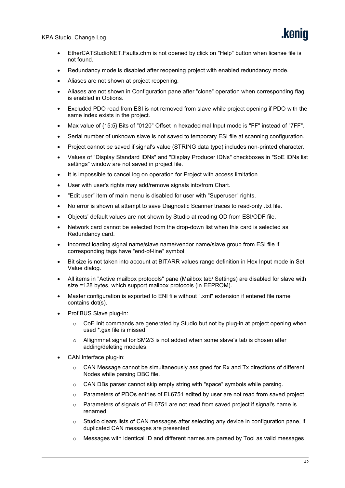- EtherCATStudioNET.Faults.chm is not opened by click on "Help" button when license file is not found.
- Redundancy mode is disabled after reopening project with enabled redundancy mode.
- Aliases are not shown at project reopening.
- Aliases are not shown in Configuration pane after "clone" operation when corresponding flag is enabled in Options.
- Excluded PDO read from ESI is not removed from slave while project opening if PDO with the same index exists in the project.
- Max value of {15:5} Bits of "0120" Offset in hexadecimal Input mode is "FF" instead of "7FF".
- Serial number of unknown slave is not saved to temporary ESI file at scanning configuration.
- Project cannot be saved if signal's value (STRING data type) includes non-printed character.
- Values of "Display Standard IDNs" and "Display Producer IDNs" checkboxes in "SoE IDNs list settings" window are not saved in project file.
- It is impossible to cancel log on operation for Project with access limitation.
- User with user's rights may add/remove signals into/from Chart.
- "Edit user" item of main menu is disabled for user with "Superuser" rights.
- No error is shown at attempt to save Diagnostic Scanner traces to read-only .txt file.
- Objects' default values are not shown by Studio at reading OD from ESI/ODF file.
- Network card cannot be selected from the drop-down list when this card is selected as Redundancy card.
- Incorrect loading signal name/slave name/vendor name/slave group from ESI file if corresponding tags have "end-of-line" symbol.
- Bit size is not taken into account at BITARR values range definition in Hex Input mode in Set Value dialog.
- All items in "Active mailbox protocols" pane (Mailbox tab/ Settings) are disabled for slave with size =128 bytes, which support mailbox protocols (in EEPROM).
- Master configuration is exported to ENI file without ".xml" extension if entered file name contains dot(s).
- ProfiBUS Slave plug-in:
	- CoE Init commands are generated by Studio but not by plug-in at project opening when used \*.gsx file is missed.
	- $\circ$  Allignmnet signal for SM2/3 is not added when some slave's tab is chosen after adding/deleting modules.
- CAN Interface plug-in:
	- $\circ$  CAN Message cannot be simultaneously assigned for Rx and Tx directions of different Nodes while parsing DBC file.
	- $\circ$  CAN DBs parser cannot skip empty string with "space" symbols while parsing.
	- o Parameters of PDOs entries of EL6751 edited by user are not read from saved project
	- $\circ$  Parameters of signals of EL6751 are not read from saved project if signal's name is renamed
	- o Studio clears lists of CAN messages after selecting any device in configuration pane, if duplicated CAN messages are presented
	- $\circ$  Messages with identical ID and different names are parsed by Tool as valid messages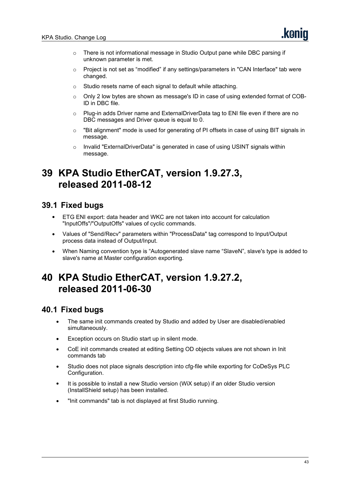- o There is not informational message in Studio Output pane while DBC parsing if unknown parameter is met.
- $\circ$  Project is not set as "modified" if any settings/parameters in "CAN Interface" tab were changed.
- o Studio resets name of each signal to default while attaching.
- o Only 2 low bytes are shown as message's ID in case of using extended format of COB-ID in DBC file.
- o Plug-in adds Driver name and ExternalDriverData tag to ENI file even if there are no DBC messages and Driver queue is equal to 0.
- $\circ$  "Bit alignment" mode is used for generating of PI offsets in case of using BIT signals in message.
- o Invalid "ExternalDriverData" is generated in case of using USINT signals within message.

# **39 KPA Studio EtherCAT, version 1.9.27.3, released 2011-08-12**

# **39.1 Fixed bugs**

- ETG ENI export: data header and WKC are not taken into account for calculation "InputOffs"/"OutputOffs" values of cyclic commands.
- Values of "Send/Recv" parameters within "ProcessData" tag correspond to Input/Output process data instead of Output/Input.
- When Naming convention type is"Autogenerated slave name "SlaveN", slave's type is added to slave's name at Master configuration exporting.

# **40 KPA Studio EtherCAT, version 1.9.27.2, released 2011-06-30**

- The same init commands created by Studio and added by User are disabled/enabled simultaneously.
- Exception occurs on Studio start up in silent mode.
- CoE init commands created at editing Setting OD objects values are not shown in Init commands tab
- Studio does not place signals description into cfg-file while exporting for CoDeSys PLC Configuration.
- It is possible to install a new Studio version (WiX setup) if an older Studio version (InstallShield setup) has been installed.
- "Init commands" tab is not displayed at first Studio running.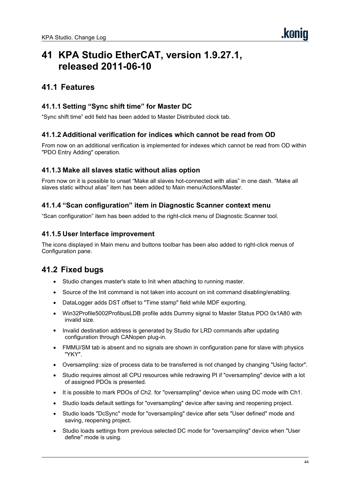# **41 KPA Studio EtherCAT, version 1.9.27.1, released 2011-06-10**

# **41.1 Features**

# **41.1.1 Setting "Sync shift time" for Master DC**

"Sync shift time" edit field has been added to Master Distributed clock tab.

## **41.1.2 Additional verification for indices which cannot be read from OD**

From now on an additional verification is implemented for indexes which cannot be read from OD within "PDO Entry Adding" operation.

#### **41.1.3 Make all slaves static without alias option**

From nowon it is possible to unset "Make all slaves hot-connected with alias" in one dash. "Make all slaves static without alias" item has been added to Main menu/Actions/Master.

## **41.1.4 "Scan configuration" item in Diagnostic Scanner context menu**

"Scan configuration" item has been added to the right-click menu of Diagnostic Scanner tool.

#### **41.1.5 User Interface improvement**

The icons displayed in Main menu and buttons toolbar has been also added to right-click menus of Configuration pane.

- Studio changes master's state to Init when attaching to running master.
- Source of the Init command is not taken into account on init command disabling/enabling.
- DataLogger adds DST offset to "Time stamp" field while MDF exporting.
- Win32Profile5002ProfibusLDB profile adds Dummy signal to Master Status PDO 0x1A80 with invalid size.
- Invalid destination address is generated by Studio for LRD commands after updating configuration through CANopen plug-in.
- FMMU/SM tab is absent and no signals are shown in configuration pane for slave with physics "YKY".
- Oversampling: size of process data to be transferred is not changed by changing "Using factor".
- Studio requires almost all CPU resources while redrawing PI if "oversampling" device with a lot of assigned PDOs is presented.
- It is possible to mark PDOs of Ch2. for "oversampling" device when using DC mode with Ch1.
- Studio loads default settings for "oversampling" device after saving and reopening project.
- Studio loads "DcSync" mode for "oversampling" device after sets "User defined" mode and saving, reopening project.
- Studio loads settings from previous selected DC mode for "oversampling" device when "User define" mode is using.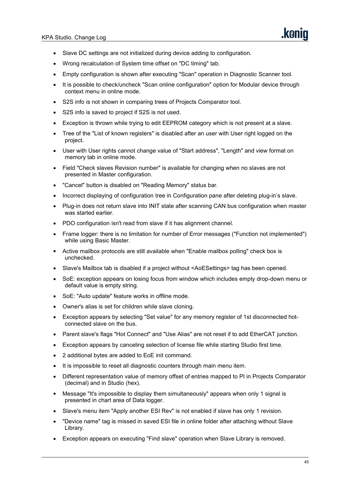- Slave DC settings are not initialized during device adding to configuration.
- Wrong recalculation of System time offset on "DC timing" tab.
- Empty configuration is shown after executing "Scan" operation in Diagnostic Scanner tool.
- It is possible to check/uncheck "Scan online configuration" option for Modular device through context menu in online mode.
- S2S info is not shown in comparing trees of Projects Comparator tool.
- S2S info is saved to project if S2S is not used.
- Exception is thrown while trying to edit EEPROM category which is not present at a slave.
- Tree of the "List of known registers" is disabled after an user with User right logged on the project.
- User with User rights cannot change value of "Start address", "Length" and view format on memory tab in online mode.
- Field "Check slaves Revision number" is available for changing when no slaves are not presented in Master configuration.
- "Cancel" button is disabled on "Reading Memory" status bar.
- Incorrect displaying of configuration tree in Configuration pane after deleting plug-in's slave.
- Plug-in does not return slave into INIT state after scanning CAN bus configuration when master was started earlier.
- PDO configuration isn't read from slave if it has alignment channel.
- Frame logger: there is no limitation for number of Error messages ("Function not implemented") while using Basic Master.
- Active mailbox protocols are still available when "Enable mailbox polling" check box is unchecked.
- Slave's Mailbox tab is disabled if a project without <AoESettings> tag has been opened.
- SoE: exception appears on losing focus from window which includes empty drop-down menu or default value is empty string.
- SoE: "Auto update" feature works in offline mode.
- Owner's alias is set for children while slave cloning.
- Exception appears by selecting "Set value" for any memory register of 1st disconnected hot connected slave on the bus.
- Parent slave's flags "Hot Connect" and "Use Alias" are not reset if to add EtherCAT junction.
- Exception appears by canceling selection of license file while starting Studio first time.
- 2 additional bytes are added to EoE init command.
- It is impossible to reset all diagnostic counters through main menu item.
- Different representation value of memory offset of entries mapped to PI in Projects Comparator (decimal) and in Studio (hex).
- Message "It's impossible to display them simultaneously" appears when only 1 signal is presented in chart area of Data logger.
- Slave's menu item "Apply another ESI Rev" is not enabled if slave has only 1 revision.
- "Device name" tag is missed in saved ESI file in online folder after attaching without Slave Library.
- Exception appears on executing "Find slave" operation when Slave Library is removed.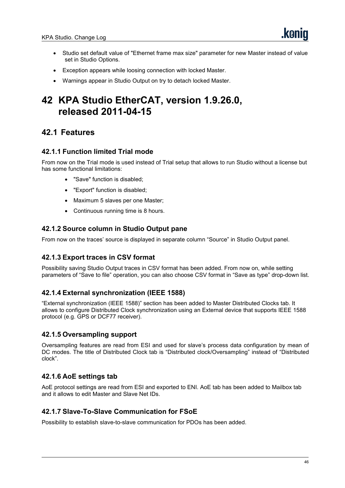- Studio set default value of "Ethernet frame max size" parameter for new Master instead of value set in Studio Options.
- Exception appears while loosing connection with locked Master.
- Warnings appear in Studio Output on try to detach locked Master.

# **42 KPA Studio EtherCAT, version 1.9.26.0, released 2011-04-15**

# **42.1 Features**

#### **42.1.1 Function limited Trial mode**

From nowon the Trial mode is used instead of Trial setup that allows to run Studio without a license but has some functional limitations:

- "Save" function is disabled;
- "Export" function is disabled;
- Maximum 5 slaves per one Master:
- Continuous running time is 8 hours.

## **42.1.2 Source column in Studio Output pane**

From nowon the traces' source is displayed in separate column "Source" in Studio Output panel.

## **42.1.3 Export traces in CSV format**

Possibility saving Studio Output traces in CSV format has been added. From nowon, while setting parameters of "Save to file" operation, you can also choose CSV format in "Save as type" drop-down list.

## **42.1.4 External synchronization (IEEE 1588)**

"External synchronization (IEEE 1588)" section has been added to Master Distributed Clocks tab. It allows to configure Distributed Clock synchronization using an External device that supports IEEE 1588 protocol (e.g. GPS or DCF77 receiver).

## **42.1.5 Oversampling support**

Oversampling features are read from ESI and used for slave's process data configuration by mean of DC modes. The title of Distributed Clock tab is"Distributed clock/Oversampling" instead of "Distributed clock".

## **42.1.6 AoE settings tab**

AoE protocol settings are read from ESI and exported to ENI. AoE tab has been added to Mailbox tab and it allows to edit Master and Slave Net IDs.

#### **42.1.7 Slave-To-Slave Communication for FSoE**

Possibility to establish slave-to-slave communication for PDOs has been added.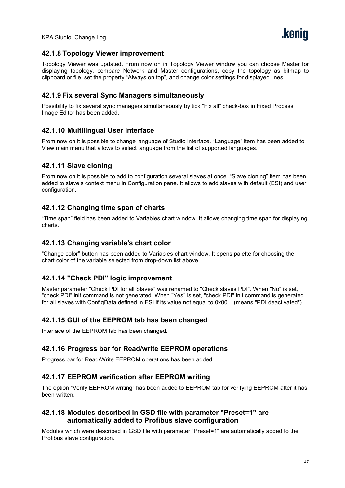#### **42.1.8 Topology Viewer improvement**

Topology Viewer was updated. From now on in Topology Viewer window you can choose Master for displaying topology, compare Network and Master configurations, copy the topology as bitmap to clipboard or file, set the property "Always on top", and change color settings for displayed lines.

### **42.1.9 Fix several Sync Managers simultaneously**

Possibility to fix several sync managers simultaneously by tick "Fix all" check-box in Fixed Process Image Editor has been added.

#### **42.1.10 Multilingual User Interface**

From nowon it is possible to change language of Studio interface. "Language" item has been added to View main menu that allows to select language from the list of supported languages.

#### **42.1.11 Slave cloning**

From nowon it is possible to add to configuration several slaves at once. "Slave cloning" item has been added to slave's context menu in Configuration pane. It allows to add slaves with default (ESI) and user configuration.

#### **42.1.12 Changing time span of charts**

"Time span" field has been added to Variables chart window. It allows changing time span for displaying charts.

#### **42.1.13 Changing variable's chart color**

"Change color" button has been added to Variables chart window. It opens palette for choosing the chart color of the variable selected from drop-down list above.

#### **42.1.14 "Check PDI" logic improvement**

Master parameter "Check PDI for all Slaves" was renamed to "Check slaves PDI". When "No" is set, "check PDI" init command is not generated. When "Yes" is set, "check PDI" init command is generated for all slaves with ConfigData defined in ESI if its value not equal to 0x00... (means "PDI deactivated").

#### **42.1.15 GUI of the EEPROM tab has been changed**

Interface of the EEPROM tab has been changed.

#### **42.1.16 Progress bar for Read/write EEPROM operations**

Progress bar for Read/Write EEPROM operations has been added.

#### **42.1.17 EEPROM verification after EEPROM writing**

The option "Verify EEPROM writing" has been added to EEPROM tab for verifying EEPROM after it has been written.

#### **42.1.18 Modules described in GSD file with parameter "Preset=1" are automatically added to Profibus slave configuration**

Modules which were described in GSD file with parameter "Preset=1" are automatically added to the Profibus slave configuration.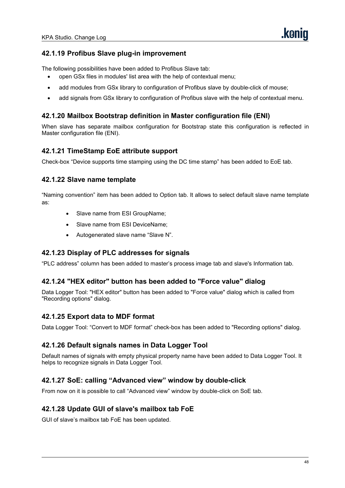# **42.1.19 Profibus Slave plug-in improvement**

The following possibilities have been added to Profibus Slave tab:

- open GSx files in modules' list area with the help of contextual menu;
- add modules from GSx library to configuration of Profibus slave by double-click of mouse;
- add signals from GSx library to configuration of Profibus slave with the help of contextual menu.

# **42.1.20 Mailbox Bootstrap definition in Master configuration file (ENI)**

When slave has separate mailbox configuration for Bootstrap state this configuration is reflected in Master configuration file (ENI).

## **42.1.21 TimeStamp EoE attribute support**

Check-box "Device supports time stamping using the DC time stamp" has been added to EoE tab.

## **42.1.22 Slave name template**

"Naming convention" item has been added to Option tab. It allows to select default slave name template as:

- Slave name from ESI GroupName;
- Slave name from ESI DeviceName;
- Autogenerated slave name "Slave N".

## **42.1.23 Display of PLC addresses for signals**

"PLC address" column has been added to master's process image tab and slave's Information tab.

## **42.1.24 "HEX editor" button has been added to "Force value" dialog**

Data Logger Tool: "HEX editor" button has been added to "Force value" dialog which is called from "Recording options" dialog.

#### **42.1.25 Export data to MDF format**

Data Logger Tool: "Convert to MDF format" check-box has been added to "Recording options" dialog.

#### **42.1.26 Default signals names in Data Logger Tool**

Default names of signals with empty physical property name have been added to Data Logger Tool. It helps to recognize signals in Data Logger Tool.

## **42.1.27 SoE: calling "Advanced view" window by double-click**

From nowon it is possible to call "Advanced view" window by double-click on SoE tab.

## **42.1.28 Update GUI of slave's mailbox tab FoE**

GUI of slave's mailbox tab FoE has been updated.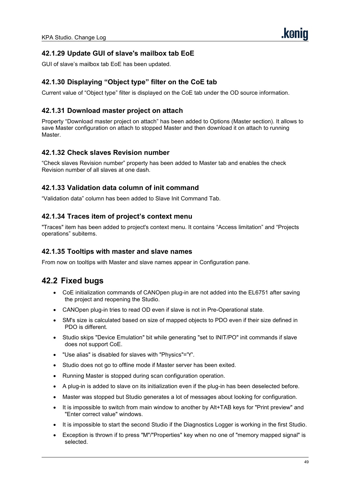# **42.1.29 Update GUI of slave's mailbox tab EoE**

GUI of slave's mailbox tab EoE has been updated.

# **42.1.30 Displaying "Object type" filter on the CoE tab**

Current value of "Object type" filter is displayed on the CoE tab under the OD source information.

## **42.1.31 Download master project on attach**

Property "Download master project on attach" has been added to Options (Master section). It allows to save Master configuration on attach to stopped Master and then download it on attach to running Master.

#### **42.1.32 Check slaves Revision number**

"Check slaves Revision number" property has been added to Master tab and enables the check Revision number of all slaves at one dash.

#### **42.1.33 Validation data column of init command**

"Validation data" column has been added to Slave Init Command Tab.

#### **42.1.34 Traces item of project's context menu**

"Traces" item has been added to project's context menu. It contains "Access limitation" and "Projects operations" subitems.

#### **42.1.35 Tooltips with master and slave names**

From now on tooltips with Master and slave names appear in Configuration pane.

- CoE initialization commands of CANOpen plug-in are not added into the EL6751 after saving the project and reopening the Studio.
- CANOpen plug-in tries to read OD even if slave is not in Pre-Operational state.
- SM's size is calculated based on size of mapped objects to PDO even if their size defined in PDO is different.
- Studio skips "Device Emulation" bit while generating "set to INIT/PO" init commands if slave does not support CoE.
- "Use alias" is disabled for slaves with "Physics"='Y'.
- Studio does not go to offline mode if Master server has been exited.
- Running Master is stopped during scan configuration operation.
- A plug-in is added to slave on its initialization even if the plug-in has been deselected before.
- Master was stopped but Studio generates a lot of messages about looking for configuration.
- It is impossible to switch from main window to another by Alt+TAB keys for "Print preview" and "Enter correct value" windows.
- It is impossible to start the second Studio if the Diagnostics Logger is working in the first Studio.
- Exception is thrown if to press "M"/"Properties" key when no one of "memory mapped signal" is selected.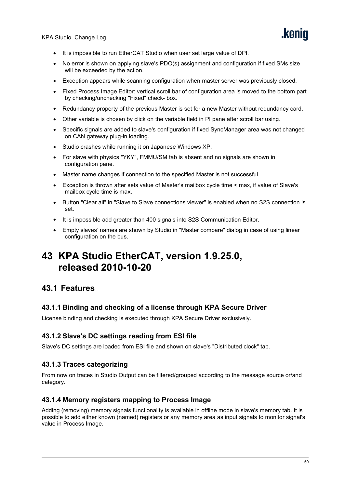- It is impossible to run EtherCAT Studio when user set large value of DPI.
- No error is shown on applying slave's PDO(s) assignment and configuration if fixed SMs size will be exceeded by the action.
- Exception appears while scanning configuration when master server was previously closed.
- Fixed Process Image Editor: vertical scroll bar of configuration area ismoved to the bottom part by checking/unchecking "Fixed" check- box.
- Redundancy property of the previous Master is set for a new Master without redundancy card.
- Other variable is chosen by click on the variable field in PI pane after scroll bar using.
- Specific signals are added to slave's configuration if fixed SyncManager area was not changed on CAN gateway plug-in loading.
- Studio crashes while running it on Japanese Windows XP.
- For slave with physics "YKY", FMMU/SM tab is absent and no signals are shown in configuration pane.
- Master name changes if connection to the specified Master is not successful.
- Exception is thrown after sets value of Master's mailbox cycle time < max, if value of Slave's mailbox cycle time is max.
- Button "Clear all" in "Slave to Slave connections viewer" is enabled when no S2S connection is set.
- It is impossible add greater than 400 signals into S2S Communication Editor.
- Empty slaves' names are shown by Studio in "Master compare" dialog in case of using linear configuration on the bus.

# **43 KPA Studio EtherCAT, version 1.9.25.0, released 2010-10-20**

# **43.1 Features**

## **43.1.1 Binding and checking of a license through KPA Secure Driver**

License binding and checking is executed through KPA Secure Driver exclusively.

## **43.1.2 Slave's DC settings reading from ESI file**

Slave's DC settings are loaded from ESI file and shown on slave's "Distributed clock" tab.

## **43.1.3 Traces categorizing**

From nowon traces in Studio Output can be filtered/grouped according to the message source or/and category.

#### **43.1.4 Memory registers mapping to Process Image**

Adding (removing) memory signals functionality is available in offline mode in slave's memory tab. It is possible to add either known (named) registers or any memory area as input signals to monitor signal's value in Process Image.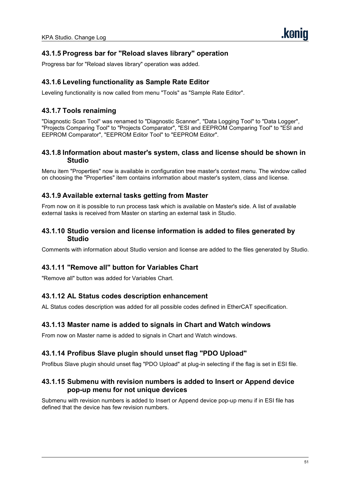# **43.1.5 Progress bar for "Reload slaves library" operation**

Progress bar for"Reload slaves library" operation was added.

### **43.1.6 Leveling functionality as Sample Rate Editor**

Leveling functionality is now called from menu "Tools" as "Sample Rate Editor".

### **43.1.7 Tools renaiming**

"Diagnostic Scan Tool" was renamed to "Diagnostic Scanner", "Data Logging Tool" to "Data Logger", "Projects Comparing Tool" to "Projects Comparator", "ESI and EEPROM Comparing Tool" to "ESI and EEPROM Comparator", "EEPROM Editor Tool" to "EEPROM Editor".

#### **43.1.8 Information about master's system, class and license should be shown in Studio**

Menu item "Properties" now is available in configuration tree master's context menu. The window called on choosing the "Properties" item contains information about master's system, class and license.

#### **43.1.9 Available external tasks getting from Master**

From now on it is possible to run process task which is available on Master's side. A list of available external tasks is received from Master on starting an external task in Studio.

#### **43.1.10 Studio version and license information is added to files generated by Studio**

Comments with information about Studio version and license are added to the files generated by Studio.

# **43.1.11 "Remove all" button for Variables Chart**

"Remove all" button was added for Variables Chart.

#### **43.1.12 AL Status codes description enhancement**

AL Status codes description was added for all possible codes defined in EtherCAT specification.

#### **43.1.13 Master name is added to signals in Chart and Watch windows**

From now on Master name is added to signals in Chart and Watch windows.

#### **43.1.14 Profibus Slave plugin should unset flag "PDO Upload"**

Profibus Slave plugin should unset flag "PDO Upload" at plug-in selecting if the flag is set in ESI file.

#### **43.1.15 Submenu with revision numbers is added to Insert or Append device pop-up menu for not unique devices**

Submenu with revision numbers is added to Insert or Append device pop-up menu if in ESI file has defined that the device has few revision numbers.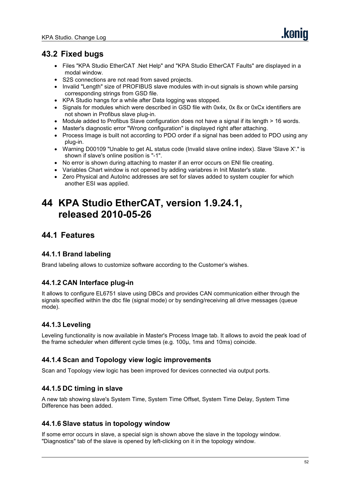# **43.2 Fixed bugs**

- Files "KPA Studio EtherCAT .Net Help" and "KPA Studio EtherCAT Faults" are displayed in a modal window.
- S2S connections are not read from saved projects.
- Invalid "Length" size of PROFIBUS slave modules with in-out signals is shown while parsing corresponding strings from GSD file.
- KPA Studio hangs for a while after Data logging was stopped.
- Signals for modules which were described in GSD file with 0x4x, 0x 8x or 0xCx identifiers are not shown in Profibus slave plug-in.
- Module added to Profibus Slave configuration does not have a signal if its length > 16 words.
- Master's diagnostic error "Wrong configuration" is displayed right after attaching.
- Process Image is built not according to PDO order if asignal has been added to PDO using any plug-in.
- Warning D00109 "Unable to get AL status code (Invalid slave online index). Slave 'Slave X'." is shown if slave's online position is"-1".
- No error is shown during attaching to master if an error occurs on ENI file creating.
- Variables Chart window is not opened by adding variabres in Init Master's state.
- Zero Physical and AutoInc addresses are set for slaves added to system coupler for which another ESI was applied.

# **44 KPA Studio EtherCAT, version 1.9.24.1, released 2010-05-26**

# **44.1 Features**

## **44.1.1 Brand labeling**

Brand labeling allows to customize software according to the Customer's wishes.

# **44.1.2 CAN Interface plug-in**

It allows to configure EL6751 slave using DBCs and provides CAN communication either through the signals specified within the dbc file (signal mode) or by sending/receiving all drive messages (queue mode).

# **44.1.3 Leveling**

Leveling functionality is now available in Master's Process Image tab. It allows to avoid the peak load of the frame scheduler when different cycle times (e.g. 100μ, 1ms and 10ms) coincide.

## **44.1.4 Scan and Topology view logic improvements**

Scan and Topology view logic has been improved for devices connected via output ports.

## **44.1.5 DC timing in slave**

A new tab showing slave's System Time, System Time Offset, System Time Delay, System Time Difference has been added.

## **44.1.6 Slave status in topology window**

If some error occurs in slave, a special sign is shown above the slave in the topology window. "Diagnostics" tab of the slave is opened by left-clicking on it in the topology window.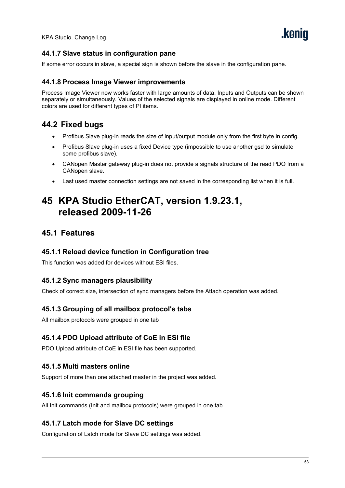# **44.1.7 Slave status in configuration pane**

If some error occurs in slave, a special sign is shown before the slave in the configuration pane.

#### **44.1.8 Process Image Viewer improvements**

Process Image Viewer now works faster with large amounts of data. Inputs and Outputs can be shown separately or simultaneously. Values of the selected signals are displayed in online mode. Different colors are used for different types of PI items.

# **44.2 Fixed bugs**

- Profibus Slave plug-in reads the size of input/output module only from the first byte in config.
- Profibus Slave plug-in uses a fixed Device type (impossible to use another gsd to simulate some profibus slave).
- CANopen Master gateway plug-in does not provide a signals structure of the read PDO from a CANopen slave.
- Last used master connection settings are not saved in the corresponding list when it is full.

# **45 KPA Studio EtherCAT, version 1.9.23.1, released 2009-11-26**

# **45.1 Features**

### **45.1.1 Reload device function in Configuration tree**

This function was added for devices without ESI files.

## **45.1.2 Sync managers plausibility**

Check of correct size, intersection of sync managers before the Attach operation was added.

## **45.1.3 Grouping of all mailbox protocol's tabs**

All mailbox protocols were grouped in one tab

## **45.1.4 PDO Upload attribute of CoE in ESI file**

PDO Upload attribute of CoE in ESI file has been supported.

#### **45.1.5 Multi masters online**

Support of more than one attached master in the project was added.

#### **45.1.6 Init commands grouping**

All Init commands (Init and mailbox protocols) were grouped in one tab.

#### **45.1.7 Latch mode for Slave DC settings**

Configuration of Latch mode for Slave DC settings was added.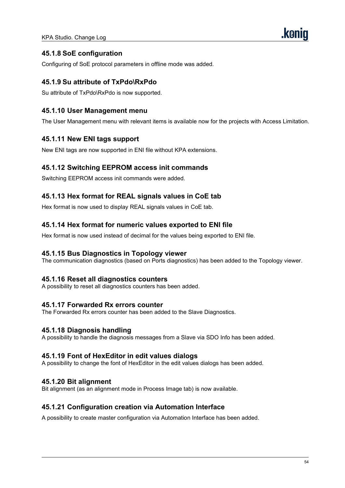# **45.1.8 SoE configuration**

Configuring of SoE protocol parameters in offline mode was added.

## **45.1.9 Su attribute of TxPdo\RxPdo**

Su attribute of TxPdo\RxPdo is now supported.

### **45.1.10 User Management menu**

The User Management menu with relevant items is available now for the projects with Access Limitation.

#### **45.1.11 New ENI tags support**

New ENI tags are now supported in ENI file without KPA extensions.

#### **45.1.12 Switching EEPROM access init commands**

Switching EEPROM access init commands were added.

#### **45.1.13 Hex format for REAL signals values in CoE tab**

Hex format is now used to display REAL signals values in CoE tab.

#### **45.1.14 Hex format for numeric values exported to ENI file**

Hex format is now used instead of decimal for the values being exported to ENI file.

#### **45.1.15 Bus Diagnostics in Topology viewer**

The communication diagnostics (based on Ports diagnostics) has been added to the Topology viewer.

#### **45.1.16 Reset all diagnostics counters**

A possibility to reset all diagnostics counters has been added.

#### **45.1.17 Forwarded Rx errors counter**

The Forwarded Rx errors counter has been added to the Slave Diagnostics.

#### **45.1.18 Diagnosis handling**

A possibility to handle the diagnosis messages from a Slave via SDO Info has been added.

#### **45.1.19 Font of HexEditor in edit values dialogs**

A possibility to change the font of HexEditor in the edit values dialogs has been added.

#### **45.1.20 Bit alignment**

Bit alignment (as an alignment mode in Process Image tab) is now available.

#### **45.1.21 Configuration creation via Automation Interface**

A possibility to create master configuration via Automation Interface has been added.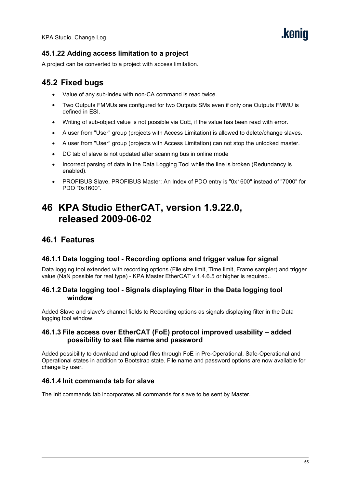# **45.1.22 Adding access limitation to a project**

A project can be converted to a project with access limitation.

# **45.2 Fixed bugs**

- Value of any sub-index with non-CA command is read twice.
- Two Outputs FMMUs are configured for two Outputs SMs even if only one Outputs FMMU is defined in ESI.
- Writing of sub-object value is not possible via CoE, if the value has been read with error.
- A user from "User" group (projects with Access Limitation) is allowed to delete/change slaves.
- A user from "User" group (projects with Access Limitation) can not stop the unlocked master.
- DC tab of slave is not updated after scanning bus in online mode
- Incorrect parsing of data in the Data Logging Tool while the line is broken (Redundancy is enabled).
- PROFIBUS Slave, PROFIBUS Master: An Index of PDO entry is "0x1600" instead of "7000" for PDO "0x1600".

# **46 KPA Studio EtherCAT, version 1.9.22.0, released 2009-06-02**

# **46.1 Features**

## **46.1.1 Data logging tool - Recording options and trigger value for signal**

Data logging tool extended with recording options (File size limit, Time limit, Frame sampler) and trigger value (NaN possible for real type) - KPA Master EtherCAT v.1.4.6.5 or higher is required..

#### **46.1.2 Data logging tool - Signals displaying filter in the Data logging tool window**

Added Slave and slave's channel fields to Recording options as signals displaying filter in the Data logging tool window.

#### **46.1.3 File access over EtherCAT (FoE) protocol improved usability – added possibility to set file name and password**

Added possibility to download and upload files through FoE in Pre-Operational, Safe-Operational and Operational states in addition to Bootstrap state. File name and password options are now available for change by user.

## **46.1.4 Init commands tab for slave**

The Init commands tab incorporates all commands for slave to be sent by Master.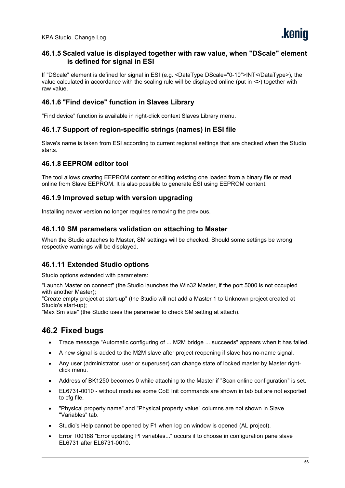## **46.1.5 Scaled value is displayed together with raw value, when "DScale" element is defined for signal in ESI**

If "DScale" element is defined for signal in ESI (e.g. <DataType DScale="0-10">INT</DataType>), the value calculated in accordance with the scaling rule will be displayed online (put in <>) together with raw value.

# **46.1.6 "Find device" function in Slaves Library**

"Find device" function is available in right-click context Slaves Library menu.

## **46.1.7 Support of region-specific strings (names) in ESI file**

Slave's name is taken from ESI according to current regional settings that are checked when the Studio starts.

### **46.1.8 EEPROM editor tool**

The tool allows creating EEPROM content or editing existing one loaded from a binary file or read online from Slave EEPROM. It is also possible to generate ESI using EEPROM content.

#### **46.1.9 Improved setup with version upgrading**

Installing newer version no longer requires removing the previous.

## **46.1.10 SM parameters validation on attaching to Master**

When the Studio attaches to Master, SM settings will be checked. Should some settings be wrong respective warnings will be displayed.

## **46.1.11 Extended Studio options**

Studio options extended with parameters:

"Launch Master on connect" (the Studio launches the Win32 Master, if the port 5000 isnot occupied with another Master);

"Create empty project at start-up" (the Studio will not add a Master 1 to Unknown project created at Studio's start-up);<br>"Max Sm size" (the Studio uses the parameter to check SM setting at attach).

- Trace message "Automatic configuring of ... M2M bridge ... succeeds"appears when it has failed.
- A new signal is added to the M2M slave after project reopening if slave has no-name signal.
- Any user (administrator, user or superuser) can change state of locked master by Master right click menu.
- Address of BK1250 becomes 0 while attaching to the Master if "Scan online configuration" is set.
- EL6731-0010 without modules some CoE Init commands are shown in tab but are not exported to cfg file.
- "Physical property name" and "Physical property value" columns are not shown in Slave "Variables" tab.
- Studio's Help cannot be opened by F1 when log on window is opened (AL project).
- Error T00188 "Error updating PI variables..." occurs if to choose in configuration pane slave EL6731 after EL6731-0010.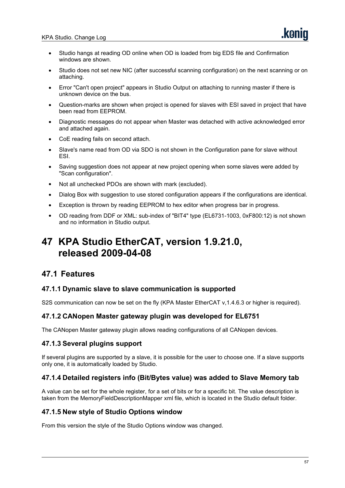- Studio hangs at reading OD online when OD is loaded from big EDS file and Confirmation windows are shown.
- Studio does not set new NIC (after successful scanning configuration) on the next scanning or on attaching.
- Error "Can't open project" appears in Studio Output on attaching to running master if there is unknown device on the bus.
- Question-marks are shown when project is opened for slaves with ESI saved in project that have been read from EEPROM.
- Diagnostic messages do not appear when Master was detached with active acknowledged error and attached again.
- CoE reading fails on second attach.
- Slave's name read from OD via SDO is not shown in the Configuration pane for slave without ESI.
- Saving suggestion does not appear at new project opening when some slaves were added by "Scan configuration".
- Not all unchecked PDOs are shown with mark (excluded).
- Dialog Box with suggestion to use stored configuration appears if the configurations are identical.
- Exception is thrown by reading EEPROM to hex editor when progress bar in progress.
- OD reading from DDF or XML: sub-index of "BIT4" type (EL6731-1003, 0xF800:12) is not shown and no information in Studio output.

# **47 KPA Studio EtherCAT, version 1.9.21.0, released 2009-04-08**

# **47.1 Features**

#### **47.1.1 Dynamic slave to slave communication is supported**

S2S communication can now be set on the fly (KPA Master EtherCAT v, 1.4.6.3 or higher is required).

#### **47.1.2 CANopen Master gateway plugin was developed for EL6751**

The CANopen Master gateway plugin allows reading configurations of all CANopen devices.

#### **47.1.3 Several plugins support**

If several plugins are supported by a slave, it is possible for the user to choose one. If a slave supports only one, it is automatically loaded by Studio.

#### **47.1.4 Detailed registers info (Bit/Bytes value) was added to Slave Memory tab**

A value can be set for the whole register, for a set of bits or for a specific bit. The value description is taken from the MemoryFieldDescriptionMapper xml file, which islocated in the Studio default folder.

#### **47.1.5 New style of Studio Options window**

From this version the style of the Studio Options window was changed.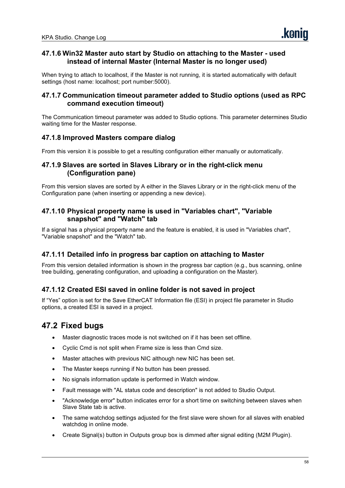## **47.1.6 Win32 Master auto start by Studio on attaching to the Master - used instead of internal Master (Internal Master is no longer used)**

When trying to attach to localhost, if the Master is not running, it is started automatically with default settings (host name: localhost; port number:5000).

## **47.1.7 Communication timeout parameter added to Studio options (used as RPC command execution timeout)**

The Communication timeout parameter was added to Studio options. This parameter determines Studio waiting time for the Master response.

## **47.1.8 Improved Masters compare dialog**

From this version it is possible to get a resulting configuration either manually or automatically.

### **47.1.9 Slaves are sorted in Slaves Library or in the right-click menu (Configuration pane)**

From this version slaves are sorted by A either in the Slaves Library or in the right-click menu of the Configuration pane (when inserting or appending a new device).

## **47.1.10 Physical property name is used in "Variables chart", "Variable snapshot" and "Watch" tab**

If a signal has a physical property name and the feature is enabled, it is used in "Variables chart", "Variable snapshot" and the "Watch" tab.

## **47.1.11 Detailed info in progress bar caption on attaching to Master**

From this version detailed information is shown in the progress bar caption (e.g., bus scanning, online tree building, generating configuration, and uploading a configuration on the Master).

## **47.1.12 Created ESI saved in online folder is not saved in project**

If "Yes" option is set for the Save EtherCAT Information file (ESI) in project file parameter in Studio options, a created ESI is saved in a project.

- Master diagnostic traces mode is not switched on if it has been set offline.
- Cyclic Cmd is not split when Frame size is less than Cmd size.
- Master attaches with previous NIC although new NIC has been set.
- The Master keeps running if No button has been pressed.
- No signals information update is performed in Watch window.
- Fault message with "AL status code and description" is not added to Studio Output.
- "Acknowledge error" button indicates error for a short time on switching between slaves when Slave State tab is active.
- The same watchdog settings adjusted for the first slave were shown for all slaves with enabled watchdog in online mode.
- Create Signal(s) button in Outputs group box is dimmed after signal editing (M2M Plugin).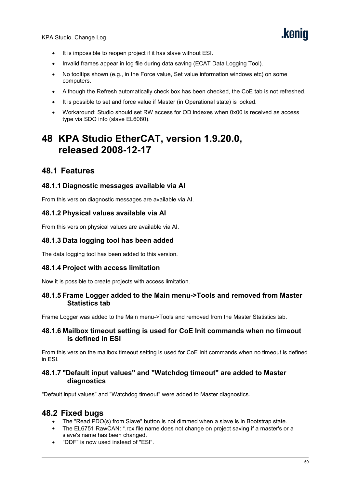- It is impossible to reopen project if it has slave without ESI.
- Invalid frames appear in log file during data saving (ECAT Data Logging Tool).
- No tooltips shown (e.g., in the Force value, Set value information windows etc) on some computers.
- Although the Refresh automatically check box has been checked, the CoE tab is not refreshed.
- It is possible to set and force value if Master (in Operational state) is locked.
- Workaround: Studio should set RW access for OD indexes when 0x00 is received as access type via SDO info (slave EL6080).

# **48 KPA Studio EtherCAT, version 1.9.20.0, released 2008-12-17**

# **48.1 Features**

#### **48.1.1 Diagnostic messages available via AI**

From this version diagnostic messages are available via AI.

#### **48.1.2 Physical values available via AI**

From this version physical values are available via AI.

#### **48.1.3 Data logging tool has been added**

The data logging tool has been added to this version.

#### **48.1.4 Project with access limitation**

Now it is possible to create projects with access limitation.

#### **48.1.5 Frame Logger added to the Main menu->Tools and removed from Master Statistics tab**

Frame Logger was added to the Main menu->Tools and removed from the Master Statistics tab.

#### **48.1.6 Mailbox timeout setting is used for CoE Init commands when no timeout is defined in ESI**

From this version the mailbox timeout setting is used for CoE Init commands when no timeout is defined in ESI.

#### **48.1.7 "Default input values" and "Watchdog timeout" are added to Master diagnostics**

"Default input values" and "Watchdog timeout" were added to Master diagnostics.

- The "Read PDO(s) from Slave" button is not dimmed when a slave is in Bootstrap state.
- The EL6751 RawCAN: \*.rcx file name does not change on project saving if a master's or a slave's name has been changed.
- "DDF" is now used instead of "ESI".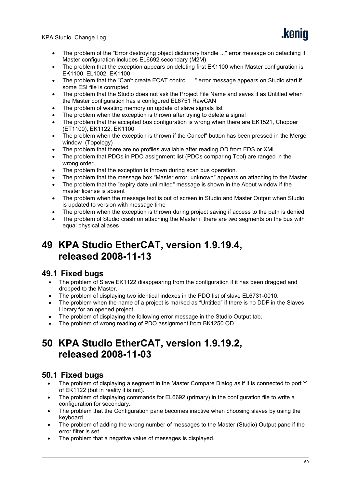- The problem of the "Error destroying object dictionary handle ..." error message on detaching if Master configuration includes EL6692 secondary (M2M)
- The problem that the exception appears on deleting first EK1100 when Master configuration is EK1100, EL1002, EK1100
- The problem that the "Can't create ECAT control. ..." error message appears on Studio start if some ESI file is corrupted
- The problem that the Studio does not ask the Project File Name and saves it as Untitled when the Master configuration has a configured EL6751 RawCAN
- The problem of wasting memory on update of slave signals list
- The problem when the exception is thrown after trying to delete a signal
- The problem that the accepted bus configuration is wrong when there are EK1521, Chopper (ET1100), EK1122, EK1100
- The problem when the exception is thrown if the Cancel" button has been pressed in the Merge window (Topology)
- The problem that there are no profiles available after reading OD from EDS or XML.
- The problem that PDOs in PDO assignment list (PDOs comparing Tool) are ranged in the wrong order.
- The problem that the exception is thrown during scan bus operation.
- The problem that the message box "Master error: unknown" appears on attaching to the Master
- The problem that the "expiry date unlimited" message isshown in the About window if the master license is absent
- The problem when the message textis out of screen in Studio and Master Output when Studio is updated to version with message time
- The problem when the exception is thrown during project saving if access to the path is denied
- The problem of Studio crash on attaching the Master if there are two segments on the bus with equal physical aliases

# **49 KPA Studio EtherCAT, version 1.9.19.4, released 2008-11-13**

# **49.1 Fixed bugs**

- The problem of Slave EK1122 disappearing from the configuration if it has been dragged and dropped to the Master.
- The problem of displaying two identical indexes in the PDO list of slave EL6731-0010.
- The problem when the name of a project is marked as "Untitled" if there is no DDF in the Slaves Library for an opened project.
- The problem of displaying the following error message in the Studio Output tab.
- The problem of wrong reading of PDO assignment from BK1250 OD.

# **50 KPA Studio EtherCAT, version 1.9.19.2, released 2008-11-03**

- The problem of displaying a segment in the Master Compare Dialog as if it is connected to port Y of EK1122 (but in reality it is not).
- The problem of displaying commands for EL6692 (primary) in the configuration file to write a configuration for secondary.
- The problem that the Configuration pane becomes inactive when choosing slaves by using the keyboard.
- The problem of adding the wrong number of messages to the Master (Studio) Output pane if the error filter is set.
- The problem that a negative value of messages is displayed.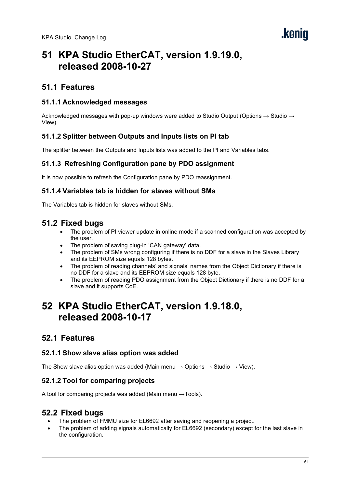# **51 KPA Studio EtherCAT, version 1.9.19.0, released 2008-10-27**

# **51.1 Features**

## **51.1.1 Acknowledged messages**

Acknowledged messages with pop-up windows were added to Studio Output (Options  $\rightarrow$  Studio  $\rightarrow$ View).

#### **51.1.2 Splitter between Outputs and Inputs lists on PI tab**

The splitter between the Outputs and Inputs lists was added to the PI and Variables tabs.

#### **51.1.3 Refreshing Configuration pane by PDO assignment**

It is now possible to refresh the Configuration pane by PDO reassignment.

#### **51.1.4 Variables tab is hidden for slaves without SMs**

The Variables tab is hidden for slaves without SMs.

# **51.2 Fixed bugs**

- The problem of PI viewer update in online mode if a scanned configuration was accepted by the user.
- The problem of saving plug-in 'CAN gateway' data.
- The problem of SMs wrong configuring if there is no DDF for a slave in the Slaves Library and its EEPROM size equals 128 bytes.
- The problem of reading channels' and signals' names from the Object Dictionary if there is no DDF for a slave and its EEPROM size equals 128 byte.
- The problem of reading PDO assignment from the Object Dictionary if there is no DDF for a slave and it supports CoE.

# **52 KPA Studio EtherCAT, version 1.9.18.0, released 2008-10-17**

# **52.1 Features**

#### **52.1.1 Show slave alias option was added**

The Show slave alias option was added (Main menu  $\rightarrow$  Options  $\rightarrow$  Studio  $\rightarrow$  View).

#### **52.1.2 Tool for comparing projects**

A tool for comparing projects was added (Main menu  $\rightarrow$ Tools).

- The problem of FMMU size for EL6692 after saving and reopening a project.
- The problem of adding signals automatically for EL6692 (secondary) except for the last slave in the configuration.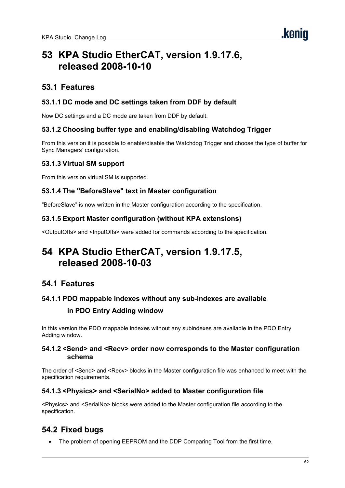# **53 KPA Studio EtherCAT, version 1.9.17.6, released 2008-10-10**

# **53.1 Features**

# **53.1.1 DC mode and DC settings taken from DDF by default**

Now DC settings and a DC mode are taken from DDF by default.

# **53.1.2 Choosing buffer type and enabling/disabling Watchdog Trigger**

From this version it is possible to enable/disable the Watchdog Trigger and choose the type of buffer for Sync Managers' configuration.

## **53.1.3 Virtual SM support**

From this version virtual SM is supported.

## **53.1.4 The "BeforeSlave" text in Master configuration**

"BeforeSlave" is now written in the Master configuration according to the specification.

## **53.1.5 Export Master configuration (without KPA extensions)**

<OutputOffs> and <InputOffs> were added for commands according to the specification.

# **54 KPA Studio EtherCAT, version 1.9.17.5, released 2008-10-03**

# **54.1 Features**

## **54.1.1 PDO mappable indexes without any sub-indexes are available**

## **in PDO Entry Adding window**

In this version the PDO mappable indexes without any subindexes are available in the PDO Entry Adding window.

#### **54.1.2 <Send> and <Recv> order now corresponds to the Master configuration schema**

The order of <Send> and <Recv> blocks in the Master configuration file was enhanced to meet with the specification requirements.

## **54.1.3 <Physics> and <SerialNo> added to Master configuration file**

<Physics> and <SerialNo> blocks were added to the Master configuration file according to the specification.

# **54.2 Fixed bugs**

The problem of opening EEPROM and the DDP Comparing Tool from the first time.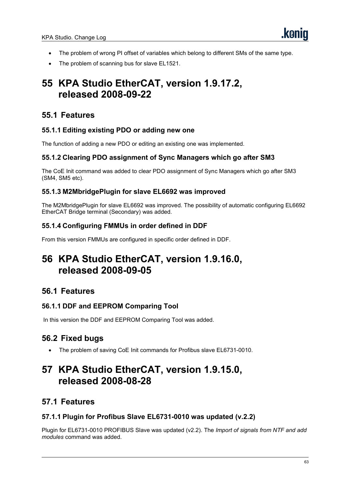- The problem of wrong PI offset of variables which belong to different SMs of the same type.
- The problem of scanning bus for slave EL1521.

# **55 KPA Studio EtherCAT, version 1.9.17.2, released 2008-09-22**

# **55.1 Features**

## **55.1.1 Editing existing PDO or adding new one**

The function of adding a new PDO or editing an existing one was implemented.

## **55.1.2 Clearing PDO assignment of Sync Managers which go after SM3**

The CoE Init command was added to clear PDO assignment of Synс Managers which go after SM3 (SM4, SM5 etc).

## **55.1.3 M2MbridgePlugin for slave EL6692 was improved**

The M2MbridgePlugin for slave EL6692 was improved. The possibility of automatic configuring EL6692 EtherCAT Bridge terminal (Secondary) was added.

# **55.1.4 Configuring FMMUs in order defined in DDF**

From this version FMMUs are configured in specific order defined in DDF.

# **56 KPA Studio EtherCAT, version 1.9.16.0, released 2008-09-05**

# **56.1 Features**

## **56.1.1 DDF and EEPROM Comparing Tool**

In this version the DDF and EEPROM Comparing Tool was added.

# **56.2 Fixed bugs**

The problem of saving CoE Init commands for Profibus slave EL6731-0010.

# **57 KPA Studio EtherCAT, version 1.9.15.0, released 2008-08-28**

# **57.1 Features**

## **57.1.1 Plugin for Profibus Slave EL6731-0010 was updated (v.2.2)**

Plugin for EL6731-0010 PROFIBUS Slave was updated (v2.2). The *Import of signals from NTF and add modules* command was added.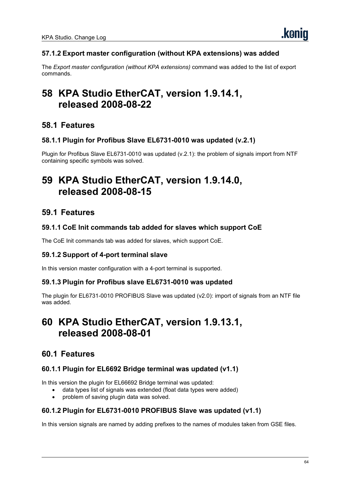# **57.1.2 Export master configuration (without KPA extensions) was added**

The *Export master configuration (without KPA extensions)* command was added to the list of export commands.

# **58 KPA Studio EtherCAT, version 1.9.14.1, released 2008-08-22**

# **58.1 Features**

#### **58.1.1 Plugin for Profibus Slave EL6731-0010 was updated (v.2.1)**

Plugin for Profibus Slave EL6731-0010 was updated (v.2.1): the problem of signals import from NTF containing specific symbols was solved.

# **59 KPA Studio EtherCAT, version 1.9.14.0, released 2008-08-15**

# **59.1 Features**

## **59.1.1 CoE Init commands tab added for slaves which support CoE**

The CoE Init commands tab was added for slaves, which support CoE.

## **59.1.2 Support of 4-port terminal slave**

In this version master configuration with a 4-port terminal is supported.

#### **59.1.3 Plugin for Profibus slave EL6731-0010 was updated**

The plugin for EL6731-0010 PROFIBUS Slave was updated (v2.0): import of signals from an NTF file was added.

# **60 KPA Studio EtherCAT, version 1.9.13.1, released 2008-08-01**

# **60.1 Features**

## **60.1.1 Plugin for EL6692 Bridge terminal was updated (v1.1)**

In this version the plugin for EL66692 Bridge terminal was updated:

- data types list of signals was extended (float data types were added)
- problem of saving plugin data was solved.

#### **60.1.2 Plugin for EL6731-0010 PROFIBUS Slave was updated (v1.1)**

In this version signals are named by adding prefixes to the names of modules taken from GSE files.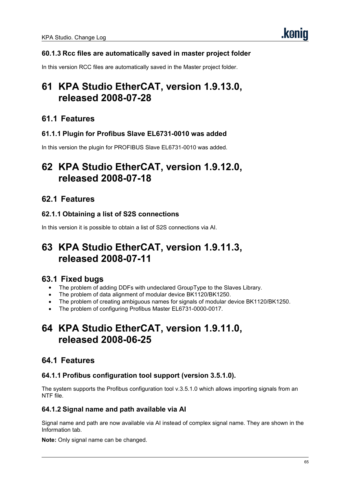# **60.1.3 Rcc files are automatically saved in master project folder**

In this version RCC files are automatically saved in the Master project folder.

# **61 KPA Studio EtherCAT, version 1.9.13.0, released 2008-07-28**

# **61.1 Features**

## **61.1.1 Plugin for Profibus Slave EL6731-0010 was added**

In this version the plugin for PROFIBUS Slave EL6731-0010 was added.

# **62 KPA Studio EtherCAT, version 1.9.12.0, released 2008-07-18**

# **62.1 Features**

## **62.1.1 Obtaining a list of S2S connections**

In this version it is possible to obtain a list of S2S connections via AI.

# **63 KPA Studio EtherCAT, version 1.9.11.3, released 2008-07-11**

# **63.1 Fixed bugs**

- The problem of adding DDFs with undeclared GroupType to the Slaves Library.
- The problem of data alignment of modular device BK1120/BK1250.
- The problem of creating ambiguous names for signals of modular device BK1120/BK1250.
- The problem of configuring Profibus Master EL6731-0000-0017.

# **64 KPA Studio EtherCAT, version 1.9.11.0, released 2008-06-25**

# **64.1 Features**

## **64.1.1 Profibus configuration tool support (version 3.5.1.0).**

The system supports the Profibus configuration tool v.3.5.1.0 which allows importing signals from an NTF file.

## **64.1.2 Signal name and path available via AI**

Signal name and path are now available via AI instead of complex signal name. They are shown in the Information tab.

**Note:** Only signal name can be changed.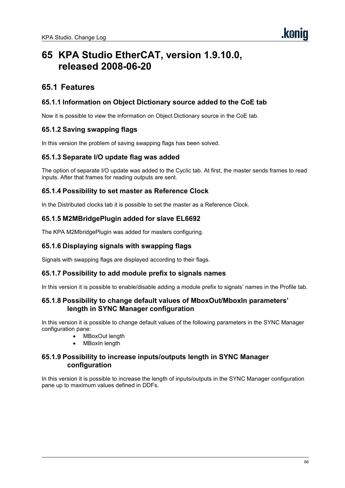# **65 KPA Studio EtherCAT, version 1.9.10.0, released 2008-06-20**

# **65.1 Features**

## **65.1.1 Information on Object Dictionary source added to the CoE tab**

Now it is possible to view the information on Object Dictionary source in the CoE tab.

#### **65.1.2 Saving swapping flags**

In this version the problem of saving swapping flags has been solved.

#### **65.1.3 Separate I/O update flag was added**

The option of separate I/O update was added to the Cyclic tab. At first, the master sends frames to read inputs. After that frames for reading outputs are sent.

#### **65.1.4 Possibility to set master as Reference Clock**

In the Distributed clocks tab it is possible to set the master as a Reference Clock.

#### **65.1.5 M2MBridgePlugin added for slave EL6692**

The KPA M2MbridgePlugin was added for masters configuring.

#### **65.1.6 Displaying signals with swapping flags**

Signals with swapping flags are displayed according to their flags.

#### **65.1.7 Possibility to add module prefix to signals names**

In this version it is possible to enable/disable adding a module prefix to signals' names in the Profile tab.

#### **65.1.8 Possibility to change default values of MboxOut/MboxIn parameters' length in SYNC Manager configuration**

In this version it is possible to change default values of the following parameters in the SYNC Manager configuration pane:

- MBoxOut length
- MBoxIn length

#### **65.1.9 Possibility to increase inputs/outputs length in SYNC Manager configuration**

In this version it is possible to increase the length of inputs/outputs in the SYNC Manager configuration pane up to maximum values defined in DDFs.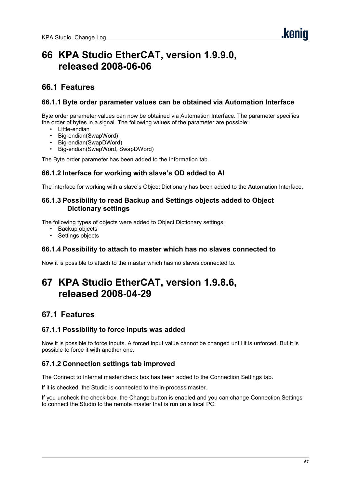# **66 KPA Studio EtherCAT, version 1.9.9.0, released 2008-06-06**

# **66.1 Features**

#### **66.1.1 Byte order parameter values can be obtained via Automation Interface**

Byte order parameter values can now be obtained via Automation Interface. The parameter specifies the order of bytes in a signal. The following values of the parameter are possible:

- Little-endian
- Big-endian(SwapWord)
- Big-endian(SwapDWord)
- Big-endian(SwapWord, SwapDWord)

The Byte order parameter has been added to the Information tab.

#### **66.1.2 Interface for working with slave's OD added to AI**

The interface for working with a slave's Object Dictionary has been added to the Automation Interface.

#### **66.1.3 Possibility to read Backup and Settings objects added to Object Dictionary settings**

The following types of objects were added to Object Dictionary settings:

- Backup objects
- Settings objects

#### **66.1.4 Possibility to attach to master which has no slaves connected to**

Now it is possible to attach to the master which has no slaves connected to.

# **67 KPA Studio EtherCAT, version 1.9.8.6, released 2008-04-29**

# **67.1 Features**

#### **67.1.1 Possibility to force inputs was added**

Now it is possible to force inputs. A forced input value cannot be changed until it is unforced. But it is possible to force it with another one.

## **67.1.2 Connection settings tab improved**

The Connect to Internal master check box has been added to the Connection Settings tab.

If it is checked, the Studio is connected to the in-process master.

If you uncheck the check box, the Change button is enabled and you can change Connection Settings to connect the Studio to the remote master that is run on a local PC.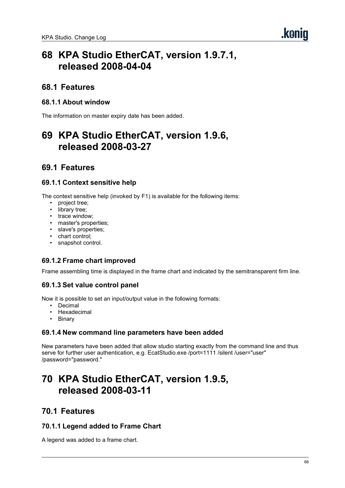# **68.1 Features**

## **68.1.1 About window**

The information on master expiry date has been added.

# **69 KPA Studio EtherCAT, version 1.9.6, released 2008-03-27**

# **69.1 Features**

## **69.1.1 Context sensitive help**

The context sensitive help (invoked by F1) is available for the following items:

- project tree;
- library tree;
- trace window;
- master's properties;
- slave's properties;
- chart control;
- snapshot control.

## **69.1.2 Frame chart improved**

Frame assembling time is displayed in the frame chart and indicated by the semitransparent firm line.

## **69.1.3 Set value control panel**

Now it is possible to set an input/output value in the following formats:

- Decimal
- **Hexadecimal**
- **Binary**

## **69.1.4 New command line parameters have been added**

New parameters have been added that allow studio starting exactly from the command line and thus serve for further user authentication, e.g. EcatStudio.exe /port=1111 /silent /user="user" /password="password."

# **70 KPA Studio EtherCAT, version 1.9.5, released 2008-03-11**

# **70.1 Features**

## **70.1.1 Legend added to Frame Chart**

A legend was added to a frame chart.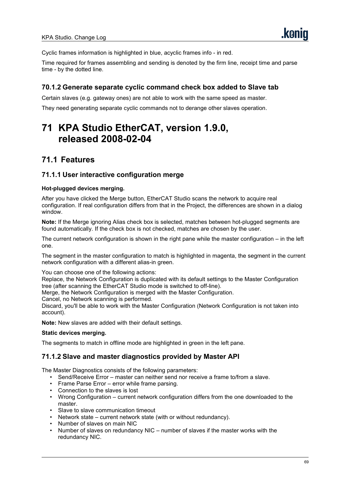Cyclic frames information is highlighted in blue, acyclic frames info - in red.

Time required for frames assembling and sending is denoted by the firm line, receipt time and parse time - by the dotted line.

#### **70.1.2 Generate separate cyclic command check box added to Slave tab**

Certain slaves (e.g. gateway ones) are not able to work with the same speed as master.

They need generating separate cyclic commands not to derange other slaves operation.

# **71 KPA Studio EtherCAT, version 1.9.0, released 2008-02-04**

# **71.1 Features**

#### **71.1.1 User interactive configuration merge**

#### **Hot-plugged devices merging.**

After you have clicked the Merge button, EtherCAT Studio scans the network to acquire real configuration. If real configuration differs from that in the Project, the differences are shown in a dialog window.

**Note:** If the Merge ignoring Alias check box is selected, matches between hot-plugged segments are found automatically. If the check box is not checked, matches are chosen by the user.

The current network configuration is shown in the right pane while the master configuration – in the left one.

The segment in the master configuration to match is highlighted in magenta, the segment in the current network configuration with a different alias-in green.

You can choose one of the following actions: Replace, the Network Configuration is duplicated with its default settings to the Master Configuration

tree (after scanning the EtherCAT Studio mode is switched to off-line).

Merge, the Network Configuration is merged with the Master Configuration.

Cancel, no Network scanning is performed.

Discard, you'll be able to work with the Master Configuration (Network Configuration is not taken into account).

**Note:** New slaves are added with their default settings.

#### **Static devices merging.**

The segments to match in offline mode are highlighted in green in the left pane.

#### **71.1.2 Slave and master diagnostics provided by Master API**

The Master Diagnostics consists of the following parameters:

- Send/Receive Error master can neither send nor receive a frame to/from a slave.
- Frame Parse Error error while frame parsing.
- Connection to the slaves is lost
- Wrong Configuration current network configuration differs from the one downloaded to the master.
- Slave to slave communication timeout
- Network state current network state (with or without redundancy).
- Number of slaves on main NIC
- Number of slaves on redundancy NIC number of slaves if the master works with the redundancy NIC.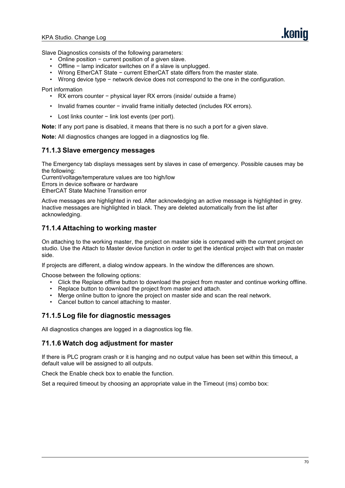Slave Diagnostics consists of the following parameters:

- Online position − current position of a given slave.
- Offline lamp indicator switches on if a slave is unplugged.
- Wrong EtherCAT State − current EtherCAT state differs from the master state.
- Wrong device type − network device does not correspond to the one in the configuration.

Port information

- RX errors counter − physical layer RX errors (inside/ outside a frame)
- Invalid frames counter − invalid frame initially detected (includes RX errors).
- Lost links counter − link lost events (per port).

**Note:** If any port pane is disabled, it means that there is no such a port for a given slave.

**Note:** All diagnostics changes are logged in a diagnostics log file.

#### **71.1.3 Slave emergency messages**

The Emergency tab displays messages sent by slaves in case of emergency. Possible causes may be the following:

Current/voltage/temperature values are too high/low

Errors in device software or hardware

EtherCAT State Machine Transition error

Active messages are highlighted in red. After acknowledging an active message is highlighted in grey. Inactive messages are highlighted in black. They are deleted automatically from the list after acknowledging.

#### **71.1.4 Attaching to working master**

On attaching to the working master, the project on master side is compared with the current project on studio. Use the Attach to Master device function in order to get the identical project with that on master side.

If projects are different, a dialog window appears. In the window the differences are shown.

Choose between the following options:

- Click the Replace offline button to download the project from master and continue working offline.
- Replace button to download the project from master and attach.
- Merge online button to ignore the project on master side and scan the real network.
- Cancel button to cancel attaching to master.

#### **71.1.5 Log file for diagnostic messages**

All diagnostics changes are logged in a diagnostics log file.

#### **71.1.6 Watch dog adjustment for master**

If there is PLC program crash or it is hanging and no output value has been set within this timeout, a default value will be assigned to all outputs.

Check the Enable check box to enable the function.

Set a required timeout by choosing an appropriate value in the Timeout (ms) combo box: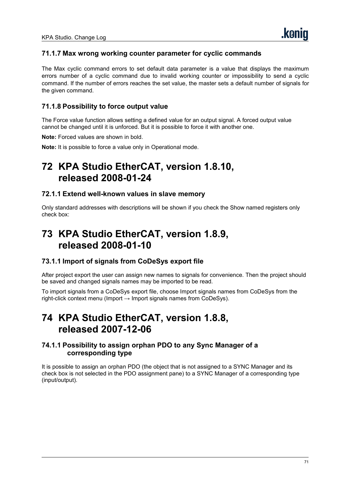## **71.1.7 Max wrong working counter parameter for cyclic commands**

The Max cyclic command errors to set default data parameter is a value that displays the maximum errors number of a cyclic command due to invalid working counter or impossibility to send a cyclic command. If the number of errors reaches the set value, the master sets a default number of signals for the given command.

### **71.1.8 Possibility to force output value**

The Force value function allows setting a defined value for an output signal. A forced output value cannot be changed until it is unforced. But it is possible to force it with another one.

**Note:** Forced values are shown in bold.

**Note:** It is possible to force a value only in Operational mode.

# **72 KPA Studio EtherCAT, version 1.8.10, released 2008-01-24**

#### **72.1.1 Extend well-known values in slave memory**

Only standard addresses with descriptions will be shown if you check the Show named registers only check box:

# **73 KPA Studio EtherCAT, version 1.8.9, released 2008-01-10**

#### **73.1.1 Import of signals from CoDeSys export file**

After project export the user can assign new names to signals for convenience. Then the project should be saved and changed signals names may be imported to be read.

To import signals from a CoDeSys export file, choose Import signals names from CoDeSys from the right-click context menu (Import  $\rightarrow$  Import signals names from CoDeSys).

# **74 KPA Studio EtherCAT, version 1.8.8, released 2007-12-06**

#### **74.1.1 Possibility to assign orphan PDO to any Sync Manager of a corresponding type**

It is possible to assign an orphan PDO (the object that is not assigned to a SYNC Manager and its check box is not selected in the PDO assignment pane) to a SYNC Manager of a corresponding type (input/output).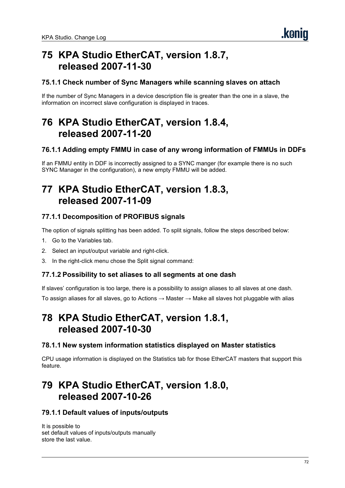# **75 KPA Studio EtherCAT, version 1.8.7, released 2007-11-30**

## **75.1.1 Check number of Sync Managers while scanning slaves on attach**

If the number of Sync Managers in a device description file is greater than the one in a slave, the information on incorrect slave configuration is displayed in traces.

# **76 KPA Studio EtherCAT, version 1.8.4, released 2007-11-20**

## **76.1.1 Adding empty FMMU in case of any wrong information of FMMUs in DDFs**

If an FMMU entity in DDF is incorrectly assigned to a SYNC manger (for example there is no such SYNC Manager in the configuration), a new empty FMMU will be added.

# **77 KPA Studio EtherCAT, version 1.8.3, released 2007-11-09**

## **77.1.1 Decomposition of PROFIBUS signals**

The option of signals splitting has been added. To split signals, follow the steps described below:

- 1. Go to the Variables tab.
- 2. Select an input/output variable and right-click.
- 3. In the right-click menu chose the Split signal command:

#### **77.1.2 Possibility to set aliases to all segments at one dash**

If slaves' configuration is too large, there is a possibility to assign aliases to all slaves at one dash.

To assign aliases for all slaves, go to Actions  $\rightarrow$  Master  $\rightarrow$  Make all slaves hot pluggable with alias

# **78 KPA Studio EtherCAT, version 1.8.1, released 2007-10-30**

#### **78.1.1 New system information statistics displayed on Master statistics**

CPU usage information is displayed on the Statistics tab for those EtherCAT masters that support this feature.

# **79 KPA Studio EtherCAT, version 1.8.0, released 2007-10-26**

#### **79.1.1 Default values of inputs/outputs**

It is possible to set default values of inputs/outputs manually store the last value.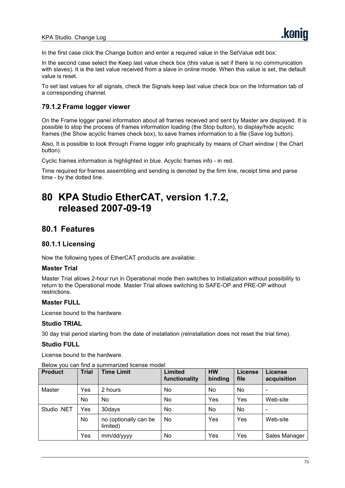In the first case click the Change button and enter a required value in the SetValue edit box:

In the second case select the Keep last value check box (this value is set if there is no communication with slaves). It is the last value received from a slave in online mode. When this value is set, the default value is reset.

To set last values for all signals, check the Signals keep last value check box on the Information tab of a corresponding channel.

#### **79.1.2 Frame logger viewer**

On the Frame logger panel information about all frames received and sent by Master are displayed. It is possible to stop the process of frames information loading (the Stop button), to display/hide acyclic frames (the Show acyclic frames check box), to save frames information to a file (Save log button).

Also, It is possible to look through Frame logger info graphically by means of Chart window (the Chart button).

Cyclic frames information is highlighted in blue. Acyclic frames info - in red.

Time required for frames assembling and sending is denoted by the firm line, receipt time and parse time - by the dotted line.

# **80 KPA Studio EtherCAT, version 1.7.2, released 2007-09-19**

## **80.1 Features**

#### **80.1.1 Licensing**

Now the following types of EtherCAT products are available:

#### **Master Trial**

Master Trial allows 2-hour run in Operational mode then switches to Initialization without possibility to return to the Operational mode. Master Trial allows switching to SAFE-OP and PRE-OP without restrictions.

#### **Master FULL**

License bound to the hardware.

#### **Studio TRIAL**

30 day trial period starting from the date of installation (reinstallation does not reset the trial time).

#### **Studio FULL**

License bound to the hardware.

| <b>Product</b> | <b>Trial</b> | <b>Time Limit</b>                 | Limited<br>functionality | <b>HW</b><br>binding | License<br>file | License<br>acquisition   |
|----------------|--------------|-----------------------------------|--------------------------|----------------------|-----------------|--------------------------|
| Master         | Yes          | 2 hours                           | No.                      | No.                  | No              | $\overline{\phantom{0}}$ |
|                | No.          | No.                               | No.                      | Yes                  | Yes             | Web-site                 |
| Studio .NET    | Yes          | 30days                            | No.                      | No.                  | No              | $\overline{\phantom{a}}$ |
|                | No           | no (optionally can be<br>limited) | No.                      | Yes                  | Yes             | Web-site                 |
|                | Yes          | mm/dd/yyyy                        | No                       | Yes                  | Yes             | Sales Manager            |

#### Below you can find a summarized license model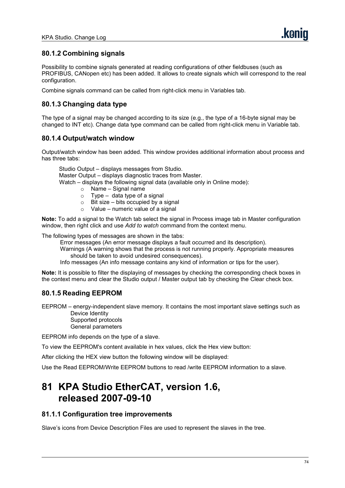### **80.1.2 Combining signals**

Possibility to combine signals generated at reading configurations of other fieldbuses (such as PROFIBUS, CANopen etc) has been added. It allows to create signals which will correspond to the real configuration.

Combine signals command can be called from right-click menu in Variables tab.

## **80.1.3 Changing data type**

The type of a signal may be changed according to its size (e.g., the type of a 16-byte signal may be changed to INT etc).Change data type command can be called from right-click menu in Variable tab.

#### **80.1.4 Output/watch window**

Output/watch window has been added. This window provides additional information about process and has three tabs:

Studio Output – displays messages from Studio. Master Output – displays diagnostic traces from Master. Watch – displays the following signal data (available only in Online mode): o Name – Signal name

- $\circ$  Type data type of a signal
- $\circ$  Bit size bits occupied by a signal
- $\circ$  Value numeric value of a signal

**Note:** To add a signal to the Watch tab select the signal in Process image tab in Master configuration window, then right click and use *Add to watch* command from the context menu.

The following types of messages are shown in the tabs:

Error messages (An error message displays a fault occurred and its description).

Warnings (A warning shows that the process is not running properly. Appropriate measures should be taken to avoid undesired consequences).

Info messages (An info message contains any kind of information or tips for the user).

**Note:** It is possible to filter the displaying of messages by checking the corresponding check boxes in the context menu and clear the Studio output / Master output tab by checking the Clear check box.

### **80.1.5 Reading EEPROM**

EEPROM – energy-independent slave memory. It contains the most important slave settings such as Device Identity

Supported protocols General parameters

EEPROM info depends on the type of a slave.

To view the EEPROM's content available in hex values, click the Hex view button:

After clicking the HEX view button the following window will be displayed:

Use the Read EEPROM/Write EEPROM buttons to read /write EEPROM information to a slave.

# **81 KPA Studio EtherCAT, version 1.6, released 2007-09-10**

#### **81.1.1 Configuration tree improvements**

Slave's icons from Device Description Files are used to represent the slaves in the tree.